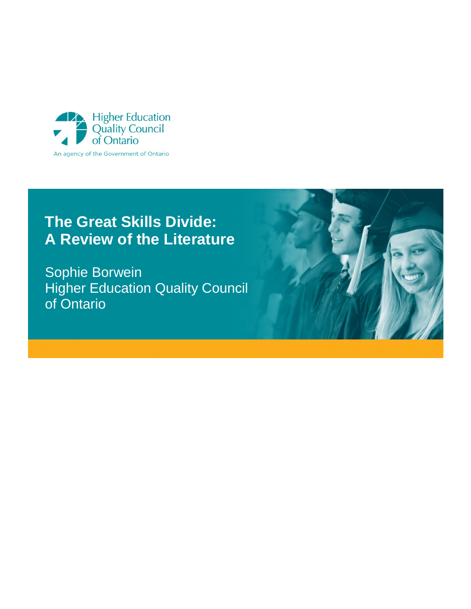

# **The Great Skills Divide: A Review of the Literature**

Sophie Borwein Higher Education Quality Council of Ontario

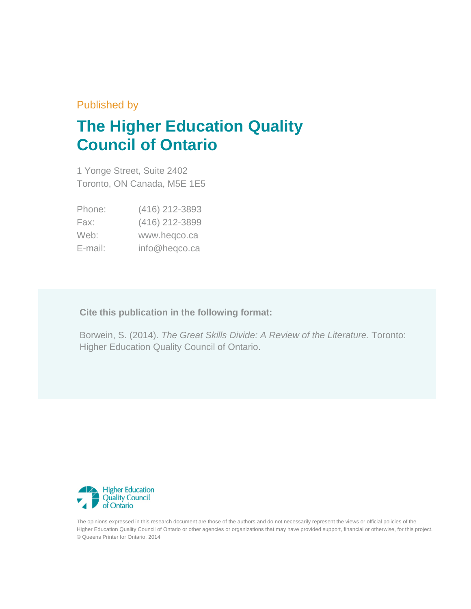### Published by

# **The Higher Education Quality Council of Ontario**

1 Yonge Street, Suite 2402 Toronto, ON Canada, M5E 1E5

| Phone:  | (416) 212-3893 |
|---------|----------------|
| Fax:    | (416) 212-3899 |
| Web:    | www.heqco.ca   |
| E-mail: | info@heqco.ca  |

**Cite this publication in the following format:**

Borwein, S. (2014). *The Great Skills Divide: A Review of the Literature.* Toronto: Higher Education Quality Council of Ontario.



The opinions expressed in this research document are those of the authors and do not necessarily represent the views or official policies of the Higher Education Quality Council of Ontario or other agencies or organizations that may have provided support, financial or otherwise, for this project. © Queens Printer for Ontario, 2014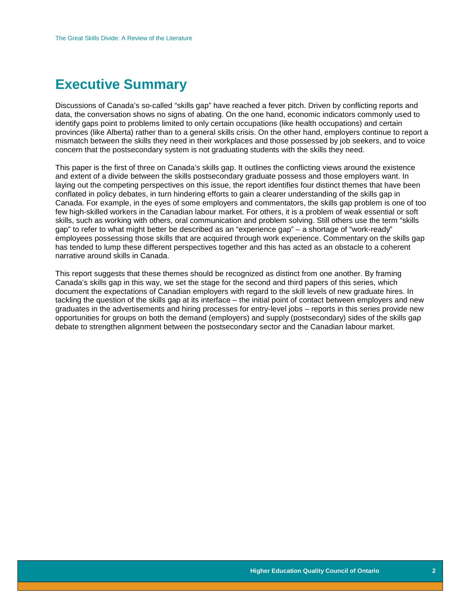### <span id="page-2-0"></span>**Executive Summary**

Discussions of Canada's so-called "skills gap" have reached a fever pitch. Driven by conflicting reports and data, the conversation shows no signs of abating. On the one hand, economic indicators commonly used to identify gaps point to problems limited to only certain occupations (like health occupations) and certain provinces (like Alberta) rather than to a general skills crisis. On the other hand, employers continue to report a mismatch between the skills they need in their workplaces and those possessed by job seekers, and to voice concern that the postsecondary system is not graduating students with the skills they need.

This paper is the first of three on Canada's skills gap. It outlines the conflicting views around the existence and extent of a divide between the skills postsecondary graduate possess and those employers want. In laying out the competing perspectives on this issue, the report identifies four distinct themes that have been conflated in policy debates, in turn hindering efforts to gain a clearer understanding of the skills gap in Canada. For example, in the eyes of some employers and commentators, the skills gap problem is one of too few high-skilled workers in the Canadian labour market. For others, it is a problem of weak essential or soft skills, such as working with others, oral communication and problem solving. Still others use the term "skills gap" to refer to what might better be described as an "experience gap" – a shortage of "work-ready" employees possessing those skills that are acquired through work experience. Commentary on the skills gap has tended to lump these different perspectives together and this has acted as an obstacle to a coherent narrative around skills in Canada.

This report suggests that these themes should be recognized as distinct from one another. By framing Canada's skills gap in this way, we set the stage for the second and third papers of this series, which document the expectations of Canadian employers with regard to the skill levels of new graduate hires. In tackling the question of the skills gap at its interface – the initial point of contact between employers and new graduates in the advertisements and hiring processes for entry-level jobs – reports in this series provide new opportunities for groups on both the demand (employers) and supply (postsecondary) sides of the skills gap debate to strengthen alignment between the postsecondary sector and the Canadian labour market.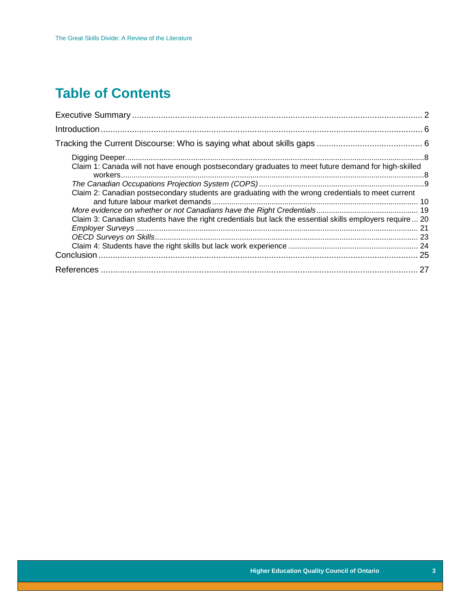# **Table of Contents**

| Claim 1: Canada will not have enough postsecondary graduates to meet future demand for high-skilled       |  |
|-----------------------------------------------------------------------------------------------------------|--|
|                                                                                                           |  |
| Claim 2: Canadian postsecondary students are graduating with the wrong credentials to meet current        |  |
|                                                                                                           |  |
| Claim 3: Canadian students have the right credentials but lack the essential skills employers require  20 |  |
|                                                                                                           |  |
|                                                                                                           |  |
|                                                                                                           |  |
|                                                                                                           |  |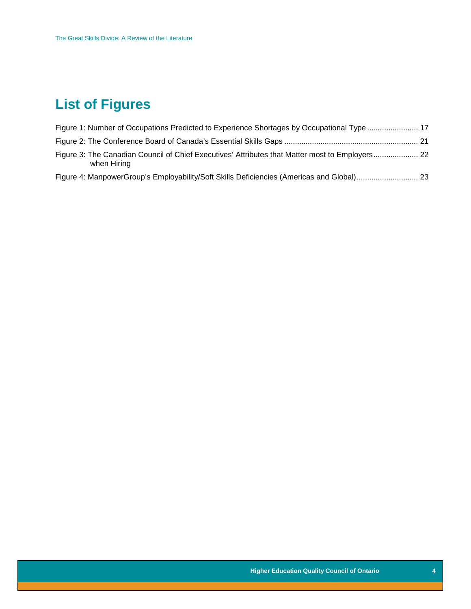# **List of Figures**

| Figure 1: Number of Occupations Predicted to Experience Shortages by Occupational Type  17                     |  |
|----------------------------------------------------------------------------------------------------------------|--|
|                                                                                                                |  |
| Figure 3: The Canadian Council of Chief Executives' Attributes that Matter most to Employers 22<br>when Hiring |  |
|                                                                                                                |  |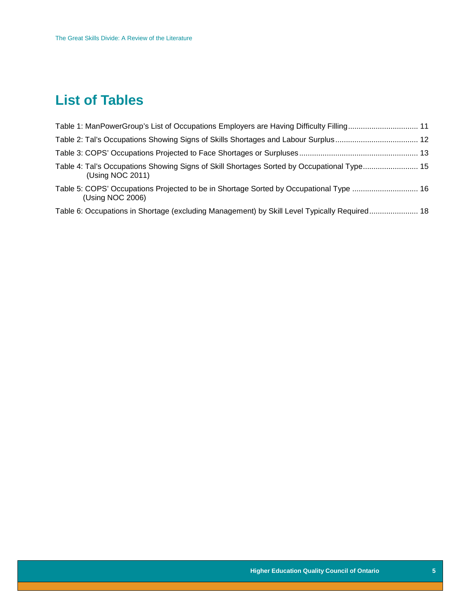## **List of Tables**

| Table 1: ManPowerGroup's List of Occupations Employers are Having Difficulty Filling 11                        |  |
|----------------------------------------------------------------------------------------------------------------|--|
|                                                                                                                |  |
|                                                                                                                |  |
| Table 4: Tal's Occupations Showing Signs of Skill Shortages Sorted by Occupational Type 15<br>(Using NOC 2011) |  |
| Table 5: COPS' Occupations Projected to be in Shortage Sorted by Occupational Type  16<br>(Using NOC 2006)     |  |
| Table 6: Occupations in Shortage (excluding Management) by Skill Level Typically Required 18                   |  |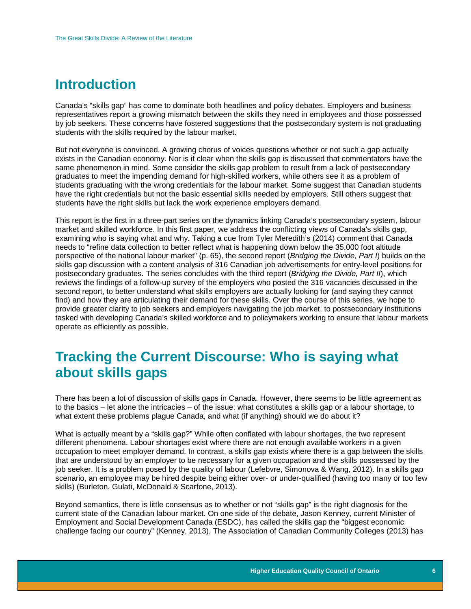### <span id="page-6-0"></span>**Introduction**

Canada's "skills gap" has come to dominate both headlines and policy debates. Employers and business representatives report a growing mismatch between the skills they need in employees and those possessed by job seekers. These concerns have fostered suggestions that the postsecondary system is not graduating students with the skills required by the labour market.

But not everyone is convinced. A growing chorus of voices questions whether or not such a gap actually exists in the Canadian economy. Nor is it clear when the skills gap is discussed that commentators have the same phenomenon in mind. Some consider the skills gap problem to result from a lack of postsecondary graduates to meet the impending demand for high-skilled workers, while others see it as a problem of students graduating with the wrong credentials for the labour market. Some suggest that Canadian students have the right credentials but not the basic essential skills needed by employers. Still others suggest that students have the right skills but lack the work experience employers demand.

This report is the first in a three-part series on the dynamics linking Canada's postsecondary system, labour market and skilled workforce. In this first paper, we address the conflicting views of Canada's skills gap, examining who is saying what and why. Taking a cue from Tyler Meredith's (2014) comment that Canada needs to "refine data collection to better reflect what is happening down below the 35,000 foot altitude perspective of the national labour market" (p. 65), the second report (*Bridging the Divide, Part I*) builds on the skills gap discussion with a content analysis of 316 Canadian job advertisements for entry-level positions for postsecondary graduates. The series concludes with the third report (*Bridging the Divide, Part II*), which reviews the findings of a follow-up survey of the employers who posted the 316 vacancies discussed in the second report, to better understand what skills employers are actually looking for (and saying they cannot find) and how they are articulating their demand for these skills. Over the course of this series, we hope to provide greater clarity to job seekers and employers navigating the job market, to postsecondary institutions tasked with developing Canada's skilled workforce and to policymakers working to ensure that labour markets operate as efficiently as possible.

### <span id="page-6-1"></span>**Tracking the Current Discourse: Who is saying what about skills gaps**

There has been a lot of discussion of skills gaps in Canada. However, there seems to be little agreement as to the basics – let alone the intricacies – of the issue: what constitutes a skills gap or a labour shortage, to what extent these problems plague Canada, and what (if anything) should we do about it?

What is actually meant by a "skills gap?" While often conflated with labour shortages, the two represent different phenomena. Labour shortages exist where there are not enough available workers in a given occupation to meet employer demand. In contrast, a skills gap exists where there is a gap between the skills that are understood by an employer to be necessary for a given occupation and the skills possessed by the job seeker. It is a problem posed by the quality of labour (Lefebvre, Simonova & Wang, 2012). In a skills gap scenario, an employee may be hired despite being either over- or under-qualified (having too many or too few skills) (Burleton, Gulati, McDonald & Scarfone, 2013).

Beyond semantics, there is little consensus as to whether or not "skills gap" is the right diagnosis for the current state of the Canadian labour market. On one side of the debate, Jason Kenney, current Minister of Employment and Social Development Canada (ESDC), has called the skills gap the "biggest economic challenge facing our country" (Kenney, 2013). The Association of Canadian Community Colleges (2013) has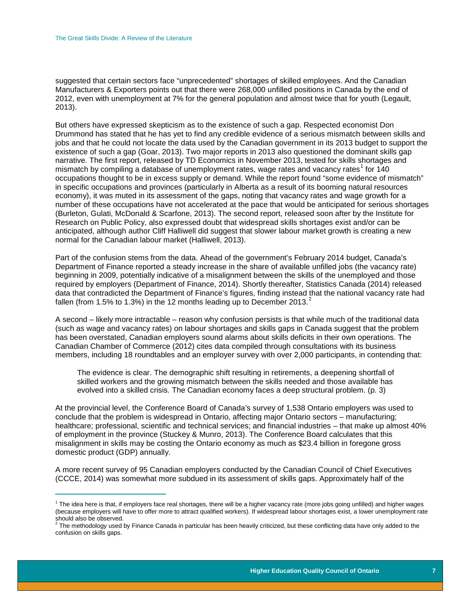suggested that certain sectors face "unprecedented" shortages of skilled employees. And the Canadian Manufacturers & Exporters points out that there were 268,000 unfilled positions in Canada by the end of 2012, even with unemployment at 7% for the general population and almost twice that for youth (Legault, 2013).

But others have expressed skepticism as to the existence of such a gap. Respected economist Don Drummond has stated that he has yet to find any credible evidence of a serious mismatch between skills and jobs and that he could not locate the data used by the Canadian government in its 2013 budget to support the existence of such a gap (Goar, 2013). Two major reports in 2013 also questioned the dominant skills gap narrative. The first report, released by TD Economics in November 2013, tested for skills shortages and mismatch by compiling a database of unemployment rates, wage rates and vacancy rates<sup>[1](#page-7-0)</sup> for  $140$ occupations thought to be in excess supply or demand. While the report found "some evidence of mismatch" in specific occupations and provinces (particularly in Alberta as a result of its booming natural resources economy), it was muted in its assessment of the gaps, noting that vacancy rates and wage growth for a number of these occupations have not accelerated at the pace that would be anticipated for serious shortages (Burleton, Gulati, McDonald & Scarfone, 2013). The second report, released soon after by the Institute for Research on Public Policy, also expressed doubt that widespread skills shortages exist and/or can be anticipated, although author Cliff Halliwell did suggest that slower labour market growth is creating a new normal for the Canadian labour market (Halliwell, 2013).

Part of the confusion stems from the data. Ahead of the government's February 2014 budget, Canada's Department of Finance reported a steady increase in the share of available unfilled jobs (the vacancy rate) beginning in 2009, potentially indicative of a misalignment between the skills of the unemployed and those required by employers (Department of Finance, 2014). Shortly thereafter, Statistics Canada (2014) released data that contradicted the Department of Finance's figures, finding instead that the national vacancy rate had fallen (from 1.5% to 1.3%) in the 1[2](#page-7-1) months leading up to December 2013.<sup>2</sup>

A second – likely more intractable – reason why confusion persists is that while much of the traditional data (such as wage and vacancy rates) on labour shortages and skills gaps in Canada suggest that the problem has been overstated, Canadian employers sound alarms about skills deficits in their own operations. The Canadian Chamber of Commerce (2012) cites data compiled through consultations with its business members, including 18 roundtables and an employer survey with over 2,000 participants, in contending that:

The evidence is clear. The demographic shift resulting in retirements, a deepening shortfall of skilled workers and the growing mismatch between the skills needed and those available has evolved into a skilled crisis. The Canadian economy faces a deep structural problem. (p. 3)

At the provincial level, the Conference Board of Canada's survey of 1,538 Ontario employers was used to conclude that the problem is widespread in Ontario, affecting major Ontario sectors – manufacturing; healthcare; professional, scientific and technical services; and financial industries – that make up almost 40% of employment in the province (Stuckey & Munro, 2013). The Conference Board calculates that this misalignment in skills may be costing the Ontario economy as much as \$23.4 billion in foregone gross domestic product (GDP) annually.

A more recent survey of 95 Canadian employers conducted by the Canadian Council of Chief Executives (CCCE, 2014) was somewhat more subdued in its assessment of skills gaps. Approximately half of the

<span id="page-7-0"></span> $\overline{a}$  $1$  The idea here is that, if employers face real shortages, there will be a higher vacancy rate (more jobs going unfilled) and higher wages (because employers will have to offer more to attract qualified workers). If widespread labour shortages exist, a lower unemployment rate should also be observed.<br><sup>2</sup> The methodology used by Finance Canada in particular has been heavily criticized, but these conflicting data have only added to the

<span id="page-7-1"></span>confusion on skills gaps.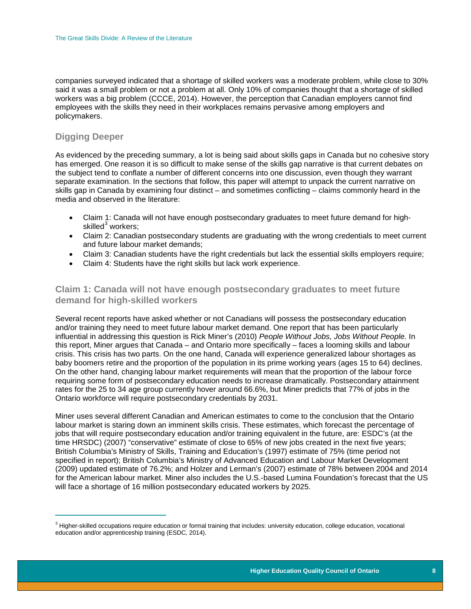companies surveyed indicated that a shortage of skilled workers was a moderate problem, while close to 30% said it was a small problem or not a problem at all. Only 10% of companies thought that a shortage of skilled workers was a big problem (CCCE, 2014). However, the perception that Canadian employers cannot find employees with the skills they need in their workplaces remains pervasive among employers and policymakers.

### <span id="page-8-0"></span>**Digging Deeper**

As evidenced by the preceding summary, a lot is being said about skills gaps in Canada but no cohesive story has emerged. One reason it is so difficult to make sense of the skills gap narrative is that current debates on the subject tend to conflate a number of different concerns into one discussion, even though they warrant separate examination. In the sections that follow, this paper will attempt to unpack the current narrative on skills gap in Canada by examining four distinct – and sometimes conflicting – claims commonly heard in the media and observed in the literature:

- Claim 1: Canada will not have enough postsecondary graduates to meet future demand for highskilled $3$  workers;
- Claim 2: Canadian postsecondary students are graduating with the wrong credentials to meet current and future labour market demands;
- Claim 3: Canadian students have the right credentials but lack the essential skills employers require;
- Claim 4: Students have the right skills but lack work experience.

#### <span id="page-8-1"></span>**Claim 1: Canada will not have enough postsecondary graduates to meet future demand for high-skilled workers**

Several recent reports have asked whether or not Canadians will possess the postsecondary education and/or training they need to meet future labour market demand. One report that has been particularly influential in addressing this question is Rick Miner's (2010) *People Without Jobs, Jobs Without People.* In this report, Miner argues that Canada – and Ontario more specifically – faces a looming skills and labour crisis. This crisis has two parts. On the one hand, Canada will experience generalized labour shortages as baby boomers retire and the proportion of the population in its prime working years (ages 15 to 64) declines. On the other hand, changing labour market requirements will mean that the proportion of the labour force requiring some form of postsecondary education needs to increase dramatically. Postsecondary attainment rates for the 25 to 34 age group currently hover around 66.6%, but Miner predicts that 77% of jobs in the Ontario workforce will require postsecondary credentials by 2031.

Miner uses several different Canadian and American estimates to come to the conclusion that the Ontario labour market is staring down an imminent skills crisis. These estimates, which forecast the percentage of jobs that will require postsecondary education and/or training equivalent in the future, are: ESDC's (at the time HRSDC) (2007) "conservative" estimate of close to 65% of new jobs created in the next five years; British Columbia's Ministry of Skills, Training and Education's (1997) estimate of 75% (time period not specified in report); British Columbia's Ministry of Advanced Education and Labour Market Development (2009) updated estimate of 76.2%; and Holzer and Lerman's (2007) estimate of 78% between 2004 and 2014 for the American labour market. Miner also includes the U.S.-based Lumina Foundation's forecast that the US will face a shortage of 16 million postsecondary educated workers by 2025.

<span id="page-8-2"></span> $\overline{\phantom{a}}$ <sup>3</sup> Higher-skilled occupations require education or formal training that includes: university education, college education, vocational education and/or apprenticeship training (ESDC, 2014).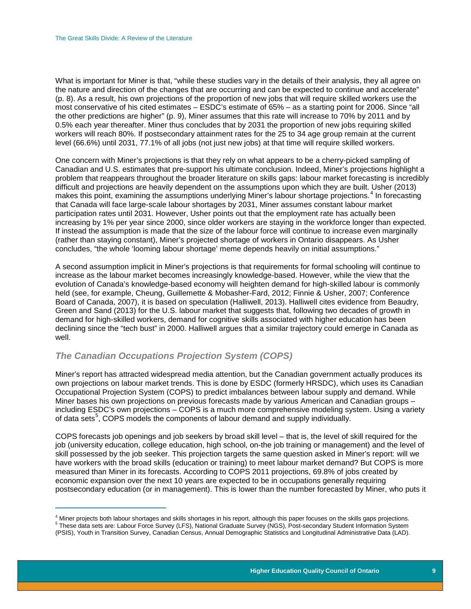What is important for Miner is that, "while these studies vary in the details of their analysis, they all agree on the nature and direction of the changes that are occurring and can be expected to continue and accelerate" (p. 8). As a result, his own projections of the proportion of new jobs that will require skilled workers use the most conservative of his cited estimates – ESDC's estimate of 65% – as a starting point for 2006. Since "all the other predictions are higher" (p. 9), Miner assumes that this rate will increase to 70% by 2011 and by 0.5% each year thereafter. Miner thus concludes that by 2031 the proportion of new jobs requiring skilled workers will reach 80%. If postsecondary attainment rates for the 25 to 34 age group remain at the current level (66.6%) until 2031, 77.1% of all jobs (not just new jobs) at that time will require skilled workers.

One concern with Miner's projections is that they rely on what appears to be a cherry-picked sampling of Canadian and U.S. estimates that pre-support his ultimate conclusion. Indeed, Miner's projections highlight a problem that reappears throughout the broader literature on skills gaps: labour market forecasting is incredibly difficult and projections are heavily dependent on the assumptions upon which they are built. Usher (2013) makes this point, examining the assumptions underlying Miner's labour shortage projections.<sup>[4](#page-9-1)</sup> In forecasting that Canada will face large-scale labour shortages by 2031, Miner assumes constant labour market participation rates until 2031. However, Usher points out that the employment rate has actually been increasing by 1% per year since 2000, since older workers are staying in the workforce longer than expected. If instead the assumption is made that the size of the labour force will continue to increase even marginally (rather than staying constant), Miner's projected shortage of workers in Ontario disappears. As Usher concludes, "the whole 'looming labour shortage' meme depends heavily on initial assumptions."

A second assumption implicit in Miner's projections is that requirements for formal schooling will continue to increase as the labour market becomes increasingly knowledge-based. However, while the view that the evolution of Canada's knowledge-based economy will heighten demand for high-skilled labour is commonly held (see, for example, Cheung, Guillemette & Mobasher-Fard, 2012; Finnie & Usher, 2007; Conference Board of Canada, 2007), it is based on speculation (Halliwell, 2013). Halliwell cites evidence from Beaudry, Green and Sand (2013) for the U.S. labour market that suggests that, following two decades of growth in demand for high-skilled workers, demand for cognitive skills associated with higher education has been declining since the "tech bust" in 2000. Halliwell argues that a similar trajectory could emerge in Canada as well.

#### <span id="page-9-0"></span>*The Canadian Occupations Projection System (COPS)*

Miner's report has attracted widespread media attention, but the Canadian government actually produces its own projections on labour market trends. This is done by ESDC (formerly HRSDC), which uses its Canadian Occupational Projection System (COPS) to predict imbalances between labour supply and demand. While Miner bases his own projections on previous forecasts made by various American and Canadian groups – including ESDC's own projections – COPS is a much more comprehensive modeling system. Using a variety of data sets<sup>[5](#page-9-2)</sup>, COPS models the components of labour demand and supply individually.

COPS forecasts job openings and job seekers by broad skill level – that is, the level of skill required for the job (university education, college education, high school, on-the job training or management) and the level of skill possessed by the job seeker. This projection targets the same question asked in Miner's report: will we have workers with the broad skills (education or training) to meet labour market demand? But COPS is more measured than Miner in its forecasts. According to COPS 2011 projections, 69.8% of jobs created by economic expansion over the next 10 years are expected to be in occupations generally requiring postsecondary education (or in management). This is lower than the number forecasted by Miner, who puts it

 $\overline{1}$ <sup>4</sup> Miner projects both labour shortages and skills shortages in his report, although this paper focuses on the skills gaps projections.<br><sup>5</sup> These data sets are: Labour Force Survey (LFS), National Graduate Survey (NGS), P

<span id="page-9-2"></span><span id="page-9-1"></span><sup>(</sup>PSIS), Youth in Transition Survey, Canadian Census, Annual Demographic Statistics and Longitudinal Administrative Data (LAD).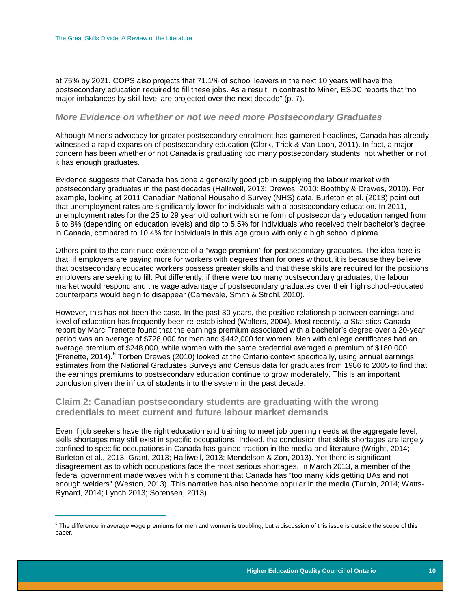at 75% by 2021. COPS also projects that 71.1% of school leavers in the next 10 years will have the postsecondary education required to fill these jobs. As a result, in contrast to Miner, ESDC reports that "no major imbalances by skill level are projected over the next decade" (p. 7).

#### *More Evidence on whether or not we need more Postsecondary Graduates*

Although Miner's advocacy for greater postsecondary enrolment has garnered headlines, Canada has already witnessed a rapid expansion of postsecondary education (Clark, Trick & Van Loon, 2011). In fact, a major concern has been whether or not Canada is graduating too many postsecondary students, not whether or not it has enough graduates.

Evidence suggests that Canada has done a generally good job in supplying the labour market with postsecondary graduates in the past decades (Halliwell, 2013; Drewes, 2010; Boothby & Drewes, 2010). For example, looking at 2011 Canadian National Household Survey (NHS) data, Burleton et al. (2013) point out that unemployment rates are significantly lower for individuals with a postsecondary education. In 2011, unemployment rates for the 25 to 29 year old cohort with some form of postsecondary education ranged from 6 to 8% (depending on education levels) and dip to 5.5% for individuals who received their bachelor's degree in Canada, compared to 10.4% for individuals in this age group with only a high school diploma.

Others point to the continued existence of a "wage premium" for postsecondary graduates. The idea here is that, if employers are paying more for workers with degrees than for ones without, it is because they believe that postsecondary educated workers possess greater skills and that these skills are required for the positions employers are seeking to fill. Put differently, if there were too many postsecondary graduates, the labour market would respond and the wage advantage of postsecondary graduates over their high school-educated counterparts would begin to disappear (Carnevale, Smith & Strohl, 2010).

However, this has not been the case. In the past 30 years, the positive relationship between earnings and level of education has frequently been re-established (Walters, 2004). Most recently, a Statistics Canada report by Marc Frenette found that the earnings premium associated with a bachelor's degree over a 20-year period was an average of \$728,000 for men and \$442,000 for women. Men with college certificates had an average premium of \$248,000, while women with the same credential averaged a premium of \$180,000 (Frenette, 2014).<sup>[6](#page-10-1)</sup> Torben Drewes (2010) looked at the Ontario context specifically, using annual earnings estimates from the National Graduates Surveys and Census data for graduates from 1986 to 2005 to find that the earnings premiums to postsecondary education continue to grow moderately. This is an important conclusion given the influx of students into the system in the past decade.

#### <span id="page-10-0"></span>**Claim 2: Canadian postsecondary students are graduating with the wrong credentials to meet current and future labour market demands**

Even if job seekers have the right education and training to meet job opening needs at the aggregate level, skills shortages may still exist in specific occupations. Indeed, the conclusion that skills shortages are largely confined to specific occupations in Canada has gained traction in the media and literature (Wright, 2014; Burleton et al., 2013; Grant, 2013; Halliwell, 2013; Mendelson & Zon, 2013). Yet there is significant disagreement as to which occupations face the most serious shortages. In March 2013, a member of the federal government made waves with his comment that Canada has "too many kids getting BAs and not enough welders" (Weston, 2013). This narrative has also become popular in the media (Turpin, 2014; Watts-Rynard, 2014; Lynch 2013; Sorensen, 2013).

<span id="page-10-1"></span> $\overline{\phantom{a}}$  $^6$  The difference in average wage premiums for men and women is troubling, but a discussion of this issue is outside the scope of this paper.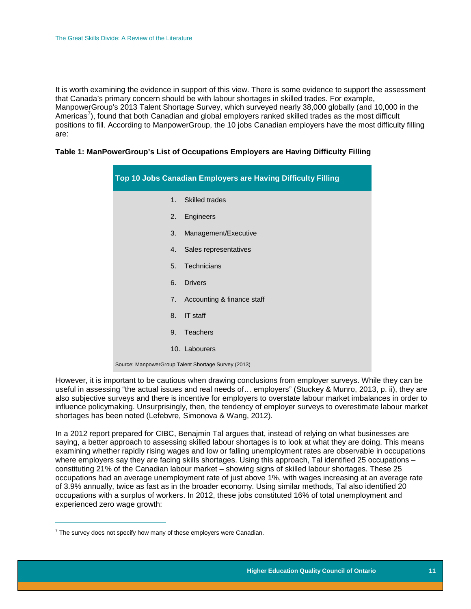It is worth examining the evidence in support of this view. There is some evidence to support the assessment that Canada's primary concern should be with labour shortages in skilled trades. For example, ManpowerGroup's 2013 Talent Shortage Survey, which surveyed nearly 38,000 globally (and 10,000 in the Americas<sup>[7](#page-11-1)</sup>), found that both Canadian and global employers ranked skilled trades as the most difficult positions to fill. According to ManpowerGroup, the 10 jobs Canadian employers have the most difficulty filling are:

#### <span id="page-11-0"></span>**Table 1: ManPowerGroup's List of Occupations Employers are Having Difficulty Filling**

| Top 10 Jobs Canadian Employers are Having Difficulty Filling |                                                     |  |
|--------------------------------------------------------------|-----------------------------------------------------|--|
| 1 <sup>1</sup>                                               | <b>Skilled trades</b>                               |  |
| 2.                                                           | Engineers                                           |  |
| 3.                                                           | Management/Executive                                |  |
| 4.                                                           | Sales representatives                               |  |
|                                                              | 5. Technicians                                      |  |
| 6.                                                           | <b>Drivers</b>                                      |  |
| 7.                                                           | Accounting & finance staff                          |  |
| <b>IT staff</b><br>8.                                        |                                                     |  |
| 9.                                                           | <b>Teachers</b>                                     |  |
|                                                              | 10. Labourers                                       |  |
|                                                              | Source: ManpowerGroup Talent Shortage Survey (2013) |  |

However, it is important to be cautious when drawing conclusions from employer surveys. While they can be useful in assessing "the actual issues and real needs of… employers" (Stuckey & Munro, 2013, p. ii), they are also subjective surveys and there is incentive for employers to overstate labour market imbalances in order to influence policymaking. Unsurprisingly, then, the tendency of employer surveys to overestimate labour market shortages has been noted (Lefebvre, Simonova & Wang, 2012).

In a 2012 report prepared for CIBC, Benajmin Tal argues that, instead of relying on what businesses are saying, a better approach to assessing skilled labour shortages is to look at what they are doing. This means examining whether rapidly rising wages and low or falling unemployment rates are observable in occupations where employers say they are facing skills shortages. Using this approach, Tal identified 25 occupations constituting 21% of the Canadian labour market – showing signs of skilled labour shortages. These 25 occupations had an average unemployment rate of just above 1%, with wages increasing at an average rate of 3.9% annually, twice as fast as in the broader economy. Using similar methods, Tal also identified 20 occupations with a surplus of workers. In 2012, these jobs constituted 16% of total unemployment and experienced zero wage growth:

 $\overline{a}$ 

<span id="page-11-1"></span> $7$  The survey does not specify how many of these employers were Canadian.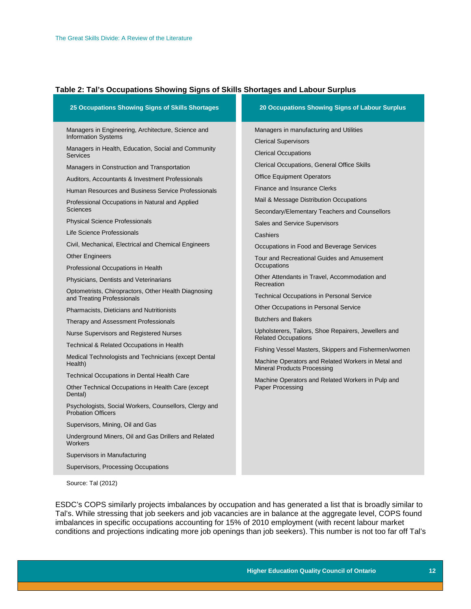#### <span id="page-12-0"></span>**Table 2: Tal's Occupations Showing Signs of Skills Shortages and Labour Surplus**

| 25 Occupations Showing Signs of Skills Shortages                                    | 20 Occupations Showing Signs of Labour Surplus                                           |
|-------------------------------------------------------------------------------------|------------------------------------------------------------------------------------------|
| Managers in Engineering, Architecture, Science and                                  | Managers in manufacturing and Utilities                                                  |
| <b>Information Systems</b>                                                          | <b>Clerical Supervisors</b>                                                              |
| Managers in Health, Education, Social and Community<br><b>Services</b>              | <b>Clerical Occupations</b>                                                              |
| Managers in Construction and Transportation                                         | Clerical Occupations, General Office Skills                                              |
| Auditors, Accountants & Investment Professionals                                    | <b>Office Equipment Operators</b>                                                        |
| Human Resources and Business Service Professionals                                  | <b>Finance and Insurance Clerks</b>                                                      |
| Professional Occupations in Natural and Applied                                     | Mail & Message Distribution Occupations                                                  |
| Sciences                                                                            | Secondary/Elementary Teachers and Counsellors                                            |
| <b>Physical Science Professionals</b>                                               | <b>Sales and Service Supervisors</b>                                                     |
| Life Science Professionals                                                          | Cashiers                                                                                 |
| Civil, Mechanical, Electrical and Chemical Engineers                                | Occupations in Food and Beverage Services                                                |
| <b>Other Engineers</b>                                                              | Tour and Recreational Guides and Amusement                                               |
| Professional Occupations in Health                                                  | Occupations                                                                              |
| Physicians, Dentists and Veterinarians                                              | Other Attendants in Travel, Accommodation and<br>Recreation                              |
| Optometrists, Chiropractors, Other Health Diagnosing<br>and Treating Professionals  | <b>Technical Occupations in Personal Service</b>                                         |
| <b>Pharmacists, Dieticians and Nutritionists</b>                                    | <b>Other Occupations in Personal Service</b>                                             |
| Therapy and Assessment Professionals                                                | <b>Butchers and Bakers</b>                                                               |
| Nurse Supervisors and Registered Nurses                                             | Upholsterers, Tailors, Shoe Repairers, Jewellers and<br><b>Related Occupations</b>       |
| Technical & Related Occupations in Health                                           | Fishing Vessel Masters, Skippers and Fishermen/women                                     |
| Medical Technologists and Technicians (except Dental<br>Health)                     | Machine Operators and Related Workers in Metal and<br><b>Mineral Products Processing</b> |
| <b>Technical Occupations in Dental Health Care</b>                                  | Machine Operators and Related Workers in Pulp and                                        |
| Other Technical Occupations in Health Care (except<br>Dental)                       | <b>Paper Processing</b>                                                                  |
| Psychologists, Social Workers, Counsellors, Clergy and<br><b>Probation Officers</b> |                                                                                          |
| Supervisors, Mining, Oil and Gas                                                    |                                                                                          |
| Underground Miners, Oil and Gas Drillers and Related<br><b>Workers</b>              |                                                                                          |
| Supervisors in Manufacturing                                                        |                                                                                          |
| Supervisors, Processing Occupations                                                 |                                                                                          |

Source: Tal (2012)

ESDC's COPS similarly projects imbalances by occupation and has generated a list that is broadly similar to Tal's. While stressing that job seekers and job vacancies are in balance at the aggregate level, COPS found imbalances in specific occupations accounting for 15% of 2010 employment (with recent labour market conditions and projections indicating more job openings than job seekers). This number is not too far off Tal's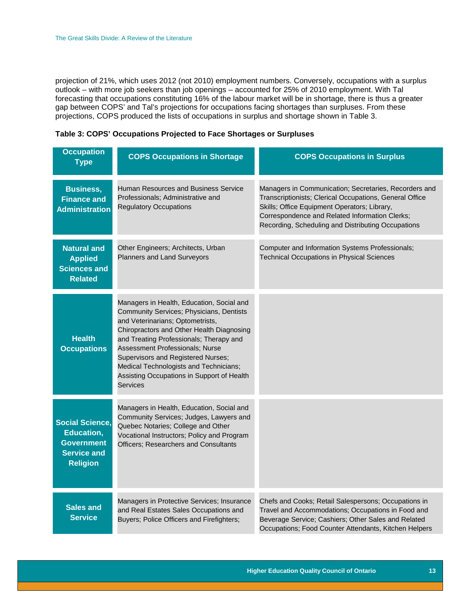projection of 21%, which uses 2012 (not 2010) employment numbers. Conversely, occupations with a surplus outlook – with more job seekers than job openings – accounted for 25% of 2010 employment. With Tal forecasting that occupations constituting 16% of the labour market will be in shortage, there is thus a greater gap between COPS' and Tal's projections for occupations facing shortages than surpluses. From these projections, COPS produced the lists of occupations in surplus and shortage shown in Table 3.

<span id="page-13-0"></span>

| <b>Occupation</b><br><b>Type</b>                                                                          | <b>COPS Occupations in Shortage</b>                                                                                                                                                                                                                                                                                                                                                            | <b>COPS Occupations in Surplus</b>                                                                                                                                                                                                                                       |
|-----------------------------------------------------------------------------------------------------------|------------------------------------------------------------------------------------------------------------------------------------------------------------------------------------------------------------------------------------------------------------------------------------------------------------------------------------------------------------------------------------------------|--------------------------------------------------------------------------------------------------------------------------------------------------------------------------------------------------------------------------------------------------------------------------|
| <b>Business,</b><br><b>Finance and</b><br><b>Administration</b>                                           | Human Resources and Business Service<br>Professionals; Administrative and<br><b>Regulatory Occupations</b>                                                                                                                                                                                                                                                                                     | Managers in Communication; Secretaries, Recorders and<br>Transcriptionists; Clerical Occupations, General Office<br>Skills; Office Equipment Operators; Library,<br>Correspondence and Related Information Clerks;<br>Recording, Scheduling and Distributing Occupations |
| <b>Natural and</b><br><b>Applied</b><br><b>Sciences and</b><br><b>Related</b>                             | Other Engineers; Architects, Urban<br>Planners and Land Surveyors                                                                                                                                                                                                                                                                                                                              | Computer and Information Systems Professionals;<br><b>Technical Occupations in Physical Sciences</b>                                                                                                                                                                     |
| <b>Health</b><br><b>Occupations</b>                                                                       | Managers in Health, Education, Social and<br>Community Services; Physicians, Dentists<br>and Veterinarians; Optometrists,<br>Chiropractors and Other Health Diagnosing<br>and Treating Professionals; Therapy and<br>Assessment Professionals; Nurse<br>Supervisors and Registered Nurses;<br>Medical Technologists and Technicians;<br>Assisting Occupations in Support of Health<br>Services |                                                                                                                                                                                                                                                                          |
| <b>Social Science,</b><br><b>Education,</b><br><b>Government</b><br><b>Service and</b><br><b>Religion</b> | Managers in Health, Education, Social and<br>Community Services; Judges, Lawyers and<br>Quebec Notaries; College and Other<br>Vocational Instructors; Policy and Program<br><b>Officers: Researchers and Consultants</b>                                                                                                                                                                       |                                                                                                                                                                                                                                                                          |
| <b>Sales and</b><br><b>Service</b>                                                                        | Managers in Protective Services; Insurance<br>and Real Estates Sales Occupations and<br>Buyers; Police Officers and Firefighters;                                                                                                                                                                                                                                                              | Chefs and Cooks; Retail Salespersons; Occupations in<br>Travel and Accommodations; Occupations in Food and<br>Beverage Service; Cashiers; Other Sales and Related<br>Occupations; Food Counter Attendants, Kitchen Helpers                                               |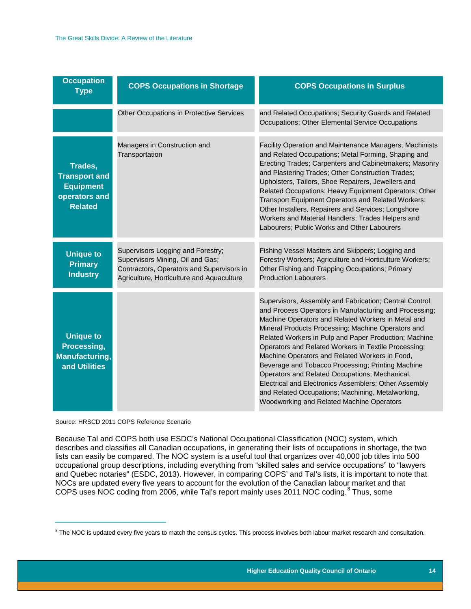| <b>Occupation</b><br><b>Type</b>                                                       | <b>COPS Occupations in Shortage</b>                                                                                                                             | <b>COPS Occupations in Surplus</b>                                                                                                                                                                                                                                                                                                                                                                                                                                                                                                                                                                                                                                |
|----------------------------------------------------------------------------------------|-----------------------------------------------------------------------------------------------------------------------------------------------------------------|-------------------------------------------------------------------------------------------------------------------------------------------------------------------------------------------------------------------------------------------------------------------------------------------------------------------------------------------------------------------------------------------------------------------------------------------------------------------------------------------------------------------------------------------------------------------------------------------------------------------------------------------------------------------|
|                                                                                        | Other Occupations in Protective Services                                                                                                                        | and Related Occupations; Security Guards and Related<br>Occupations; Other Elemental Service Occupations                                                                                                                                                                                                                                                                                                                                                                                                                                                                                                                                                          |
| Trades,<br><b>Transport and</b><br><b>Equipment</b><br>operators and<br><b>Related</b> | Managers in Construction and<br>Transportation                                                                                                                  | Facility Operation and Maintenance Managers; Machinists<br>and Related Occupations; Metal Forming, Shaping and<br>Erecting Trades; Carpenters and Cabinetmakers; Masonry<br>and Plastering Trades; Other Construction Trades;<br>Upholsters, Tailors, Shoe Repairers, Jewellers and<br>Related Occupations; Heavy Equipment Operators; Other<br>Transport Equipment Operators and Related Workers;<br>Other Installers, Repairers and Services; Longshore<br>Workers and Material Handlers; Trades Helpers and<br>Labourers; Public Works and Other Labourers                                                                                                     |
| <b>Unique to</b><br><b>Primary</b><br><b>Industry</b>                                  | Supervisors Logging and Forestry;<br>Supervisors Mining, Oil and Gas;<br>Contractors, Operators and Supervisors in<br>Agriculture, Horticulture and Aquaculture | Fishing Vessel Masters and Skippers; Logging and<br>Forestry Workers; Agriculture and Horticulture Workers;<br>Other Fishing and Trapping Occupations; Primary<br><b>Production Labourers</b>                                                                                                                                                                                                                                                                                                                                                                                                                                                                     |
| <b>Unique to</b><br>Processing,<br><b>Manufacturing,</b><br>and Utilities              |                                                                                                                                                                 | Supervisors, Assembly and Fabrication; Central Control<br>and Process Operators in Manufacturing and Processing;<br>Machine Operators and Related Workers in Metal and<br>Mineral Products Processing; Machine Operators and<br>Related Workers in Pulp and Paper Production; Machine<br>Operators and Related Workers in Textile Processing;<br>Machine Operators and Related Workers in Food,<br>Beverage and Tobacco Processing; Printing Machine<br>Operators and Related Occupations; Mechanical,<br>Electrical and Electronics Assemblers; Other Assembly<br>and Related Occupations; Machining, Metalworking,<br>Woodworking and Related Machine Operators |

Source: HRSCD 2011 COPS Reference Scenario

 $\overline{\phantom{a}}$ 

Because Tal and COPS both use ESDC's National Occupational Classification (NOC) system, which describes and classifies all Canadian occupations, in generating their lists of occupations in shortage, the two lists can easily be compared. The NOC system is a useful tool that organizes over 40,000 job titles into 500 occupational group descriptions, including everything from "skilled sales and service occupations" to "lawyers and Quebec notaries" (ESDC, 2013). However, in comparing COPS' and Tal's lists, it is important to note that NOCs are updated every five years to account for the evolution of the Canadian labour market and that COPS uses NOC coding from 2006, while Tal's report mainly uses 2011 NOC coding.<sup>[8](#page-14-0)</sup> Thus, some

<span id="page-14-0"></span> $8$  The NOC is updated every five years to match the census cycles. This process involves both labour market research and consultation.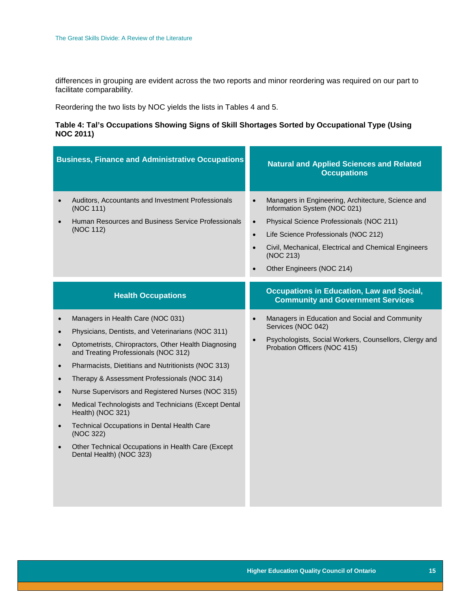differences in grouping are evident across the two reports and minor reordering was required on our part to facilitate comparability.

Reordering the two lists by NOC yields the lists in Tables 4 and 5.

#### <span id="page-15-0"></span>**Table 4: Tal's Occupations Showing Signs of Skill Shortages Sorted by Occupational Type (Using NOC 2011)**

|                                                                                                                   | <b>Business, Finance and Administrative Occupations</b>                                                                                                                                                                                                                                                                                                                                                                                                                                                                                                                       |                                     | <b>Natural and Applied Sciences and Related</b><br><b>Occupations</b>                                                                                                                                                                                                    |
|-------------------------------------------------------------------------------------------------------------------|-------------------------------------------------------------------------------------------------------------------------------------------------------------------------------------------------------------------------------------------------------------------------------------------------------------------------------------------------------------------------------------------------------------------------------------------------------------------------------------------------------------------------------------------------------------------------------|-------------------------------------|--------------------------------------------------------------------------------------------------------------------------------------------------------------------------------------------------------------------------------------------------------------------------|
| $\bullet$                                                                                                         | Auditors, Accountants and Investment Professionals<br>(NOC 111)<br>Human Resources and Business Service Professionals<br>(NOC 112)                                                                                                                                                                                                                                                                                                                                                                                                                                            | $\bullet$<br>$\bullet$<br>$\bullet$ | Managers in Engineering, Architecture, Science and<br>Information System (NOC 021)<br>Physical Science Professionals (NOC 211)<br>Life Science Professionals (NOC 212)<br>Civil, Mechanical, Electrical and Chemical Engineers<br>(NOC 213)<br>Other Engineers (NOC 214) |
|                                                                                                                   | <b>Health Occupations</b>                                                                                                                                                                                                                                                                                                                                                                                                                                                                                                                                                     |                                     | <b>Occupations in Education, Law and Social,</b><br><b>Community and Government Services</b>                                                                                                                                                                             |
| $\bullet$<br>$\bullet$<br>$\bullet$<br>$\bullet$<br>$\bullet$<br>$\bullet$<br>$\bullet$<br>$\bullet$<br>$\bullet$ | Managers in Health Care (NOC 031)<br>Physicians, Dentists, and Veterinarians (NOC 311)<br>Optometrists, Chiropractors, Other Health Diagnosing<br>and Treating Professionals (NOC 312)<br>Pharmacists, Dietitians and Nutritionists (NOC 313)<br>Therapy & Assessment Professionals (NOC 314)<br>Nurse Supervisors and Registered Nurses (NOC 315)<br>Medical Technologists and Technicians (Except Dental<br>Health) (NOC 321)<br>Technical Occupations in Dental Health Care<br>(NOC 322)<br>Other Technical Occupations in Health Care (Except<br>Dental Health) (NOC 323) |                                     | Managers in Education and Social and Community<br>Services (NOC 042)<br>Psychologists, Social Workers, Counsellors, Clergy and<br>Probation Officers (NOC 415)                                                                                                           |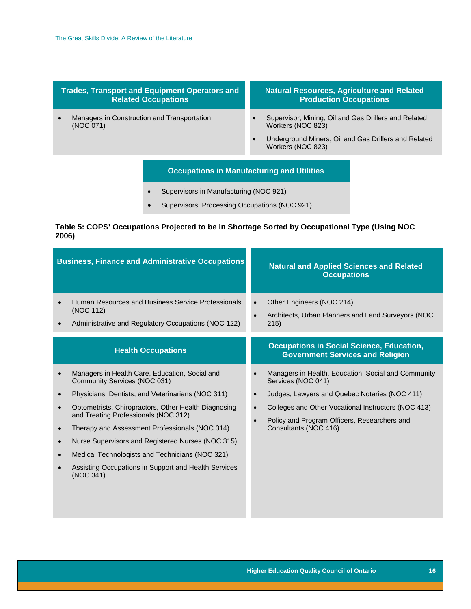#### **Trades, Transport and Equipment Operators and Related Occupations**

• Managers in Construction and Transportation (NOC 071)

#### **Natural Resources, Agriculture and Related Production Occupations**

- Supervisor, Mining, Oil and Gas Drillers and Related Workers (NOC 823)
- Underground Miners, Oil and Gas Drillers and Related Workers (NOC 823)

#### **Occupations in Manufacturing and Utilities**

- Supervisors in Manufacturing (NOC 921)
- Supervisors, Processing Occupations (NOC 921)

#### <span id="page-16-0"></span>**Table 5: COPS' Occupations Projected to be in Shortage Sorted by Occupational Type (Using NOC 2006)**

| <b>Business, Finance and Administrative Occupations</b> |                                                                                                                                                                                                                                                                                                                                                                                                                                                                    |           | <b>Natural and Applied Sciences and Related</b><br><b>Occupations</b>                                                                                                                                                                                      |
|---------------------------------------------------------|--------------------------------------------------------------------------------------------------------------------------------------------------------------------------------------------------------------------------------------------------------------------------------------------------------------------------------------------------------------------------------------------------------------------------------------------------------------------|-----------|------------------------------------------------------------------------------------------------------------------------------------------------------------------------------------------------------------------------------------------------------------|
|                                                         | Human Resources and Business Service Professionals<br>(NOC 112)<br>Administrative and Regulatory Occupations (NOC 122)                                                                                                                                                                                                                                                                                                                                             | $\bullet$ | Other Engineers (NOC 214)<br>Architects, Urban Planners and Land Surveyors (NOC<br>215)                                                                                                                                                                    |
|                                                         | <b>Health Occupations</b>                                                                                                                                                                                                                                                                                                                                                                                                                                          |           | <b>Occupations in Social Science, Education,</b><br><b>Government Services and Religion</b>                                                                                                                                                                |
| $\bullet$<br>$\bullet$<br>$\bullet$<br>$\bullet$        | Managers in Health Care, Education, Social and<br>Community Services (NOC 031)<br>Physicians, Dentists, and Veterinarians (NOC 311)<br>Optometrists, Chiropractors, Other Health Diagnosing<br>and Treating Professionals (NOC 312)<br>Therapy and Assessment Professionals (NOC 314)<br>Nurse Supervisors and Registered Nurses (NOC 315)<br>Medical Technologists and Technicians (NOC 321)<br>Assisting Occupations in Support and Health Services<br>(NOC 341) | $\bullet$ | Managers in Health, Education, Social and Community<br>Services (NOC 041)<br>Judges, Lawyers and Quebec Notaries (NOC 411)<br>Colleges and Other Vocational Instructors (NOC 413)<br>Policy and Program Officers, Researchers and<br>Consultants (NOC 416) |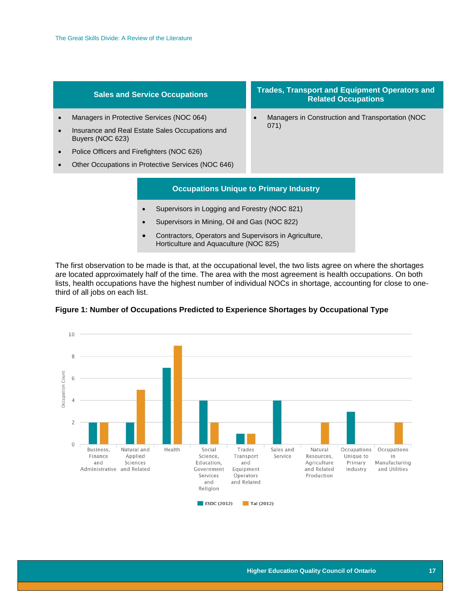- Managers in Protective Services (NOC 064)
- Insurance and Real Estate Sales Occupations and Buyers (NOC 623)
- Police Officers and Firefighters (NOC 626)
- Other Occupations in Protective Services (NOC 646)

#### **Sales and Service Occupations Trades, Transport and Equipment Operators and Related Occupations**

• Managers in Construction and Transportation (NOC 071)

#### **Occupations Unique to Primary Industry**

- Supervisors in Logging and Forestry (NOC 821)
- Supervisors in Mining, Oil and Gas (NOC 822)
- Contractors, Operators and Supervisors in Agriculture, Horticulture and Aquaculture (NOC 825)

The first observation to be made is that, at the occupational level, the two lists agree on where the shortages are located approximately half of the time. The area with the most agreement is health occupations. On both lists, health occupations have the highest number of individual NOCs in shortage, accounting for close to onethird of all jobs on each list.



<span id="page-17-0"></span>**Figure 1: Number of Occupations Predicted to Experience Shortages by Occupational Type**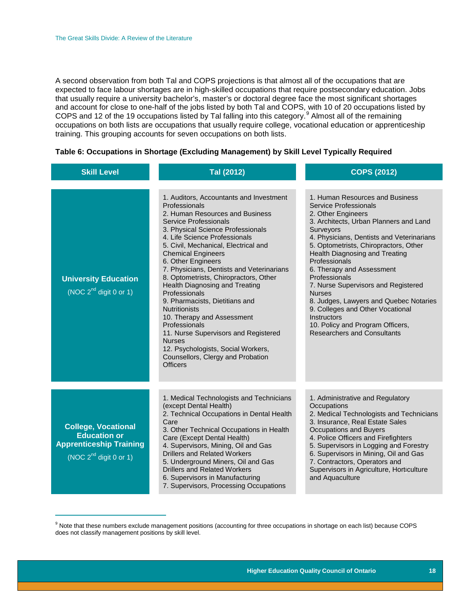$\overline{\phantom{a}}$ 

A second observation from both Tal and COPS projections is that almost all of the occupations that are expected to face labour shortages are in high-skilled occupations that require postsecondary education. Jobs that usually require a university bachelor's, master's or doctoral degree face the most significant shortages and account for close to one-half of the jobs listed by both Tal and COPS, with 10 of 20 occupations listed by COPS and 12 of the 1[9](#page-18-1) occupations listed by Tal falling into this category.<sup>9</sup> Almost all of the remaining occupations on both lists are occupations that usually require college, vocational education or apprenticeship training. This grouping accounts for seven occupations on both lists.

#### <span id="page-18-0"></span>**Table 6: Occupations in Shortage (Excluding Management) by Skill Level Typically Required**

| <b>Skill Level</b>                                                                                                                                                                                                                                                                                                                                                                                                                                                                                                                                                                                                                                                                                                                                           | Tal (2012)                                                                                                                                                                                                                                                                                                                                                                                                                          | <b>COPS (2012)</b>                                                                                                                                                                                                                                                                                                                                                                                                                                                                                                                                                 |  |
|--------------------------------------------------------------------------------------------------------------------------------------------------------------------------------------------------------------------------------------------------------------------------------------------------------------------------------------------------------------------------------------------------------------------------------------------------------------------------------------------------------------------------------------------------------------------------------------------------------------------------------------------------------------------------------------------------------------------------------------------------------------|-------------------------------------------------------------------------------------------------------------------------------------------------------------------------------------------------------------------------------------------------------------------------------------------------------------------------------------------------------------------------------------------------------------------------------------|--------------------------------------------------------------------------------------------------------------------------------------------------------------------------------------------------------------------------------------------------------------------------------------------------------------------------------------------------------------------------------------------------------------------------------------------------------------------------------------------------------------------------------------------------------------------|--|
| 1. Auditors, Accountants and Investment<br>Professionals<br>2. Human Resources and Business<br>Service Professionals<br>3. Physical Science Professionals<br>4. Life Science Professionals<br>5. Civil, Mechanical, Electrical and<br><b>Chemical Engineers</b><br>6. Other Engineers<br>7. Physicians, Dentists and Veterinarians<br>8. Optometrists, Chiropractors, Other<br><b>University Education</b><br>Health Diagnosing and Treating<br>(NOC $2^{nd}$ digit 0 or 1)<br>Professionals<br>9. Pharmacists, Dietitians and<br><b>Nutritionists</b><br>10. Therapy and Assessment<br>Professionals<br>11. Nurse Supervisors and Registered<br><b>Nurses</b><br>12. Psychologists, Social Workers,<br>Counsellors, Clergy and Probation<br><b>Officers</b> |                                                                                                                                                                                                                                                                                                                                                                                                                                     | 1. Human Resources and Business<br>Service Professionals<br>2. Other Engineers<br>3. Architects, Urban Planners and Land<br><b>Surveyors</b><br>4. Physicians, Dentists and Veterinarians<br>5. Optometrists, Chiropractors, Other<br>Health Diagnosing and Treating<br>Professionals<br>6. Therapy and Assessment<br>Professionals<br>7. Nurse Supervisors and Registered<br><b>Nurses</b><br>8. Judges, Lawyers and Quebec Notaries<br>9. Colleges and Other Vocational<br>Instructors<br>10. Policy and Program Officers,<br><b>Researchers and Consultants</b> |  |
| <b>College, Vocational</b><br><b>Education or</b><br><b>Apprenticeship Training</b><br>(NOC $2^{nd}$ digit 0 or 1)                                                                                                                                                                                                                                                                                                                                                                                                                                                                                                                                                                                                                                           | 1. Medical Technologists and Technicians<br>(except Dental Health)<br>2. Technical Occupations in Dental Health<br>Care<br>3. Other Technical Occupations in Health<br>Care (Except Dental Health)<br>4. Supervisors, Mining, Oil and Gas<br>Drillers and Related Workers<br>5. Underground Miners, Oil and Gas<br><b>Drillers and Related Workers</b><br>6. Supervisors in Manufacturing<br>7. Supervisors, Processing Occupations | 1. Administrative and Regulatory<br>Occupations<br>2. Medical Technologists and Technicians<br>3. Insurance, Real Estate Sales<br>Occupations and Buyers<br>4. Police Officers and Firefighters<br>5. Supervisors in Logging and Forestry<br>6. Supervisors in Mining, Oil and Gas<br>7. Contractors, Operators and<br>Supervisors in Agriculture, Horticulture<br>and Aquaculture                                                                                                                                                                                 |  |

<span id="page-18-1"></span><sup>&</sup>lt;sup>9</sup> Note that these numbers exclude management positions (accounting for three occupations in shortage on each list) because COPS does not classify management positions by skill level.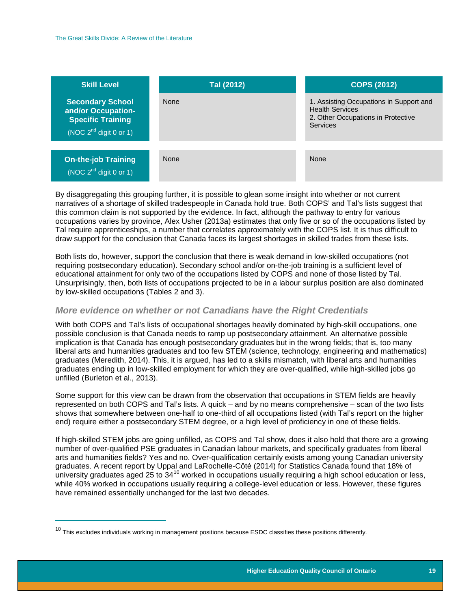| <b>Skill Level</b>                                                                                       | Tal (2012)  | <b>COPS (2012)</b>                                                                                                  |
|----------------------------------------------------------------------------------------------------------|-------------|---------------------------------------------------------------------------------------------------------------------|
| <b>Secondary School</b><br>and/or Occupation-<br><b>Specific Training</b><br>(NOC $2^{nd}$ digit 0 or 1) | <b>None</b> | 1. Assisting Occupations in Support and<br><b>Health Services</b><br>2. Other Occupations in Protective<br>Services |
|                                                                                                          |             |                                                                                                                     |
| <b>On-the-job Training</b><br>(NOC $2^{nd}$ digit 0 or 1)                                                | <b>None</b> | None                                                                                                                |

By disaggregating this grouping further, it is possible to glean some insight into whether or not current narratives of a shortage of skilled tradespeople in Canada hold true. Both COPS' and Tal's lists suggest that this common claim is not supported by the evidence. In fact, although the pathway to entry for various occupations varies by province, Alex Usher (2013a) estimates that only five or so of the occupations listed by Tal require apprenticeships, a number that correlates approximately with the COPS list. It is thus difficult to draw support for the conclusion that Canada faces its largest shortages in skilled trades from these lists.

Both lists do, however, support the conclusion that there is weak demand in low-skilled occupations (not requiring postsecondary education). Secondary school and/or on-the-job training is a sufficient level of educational attainment for only two of the occupations listed by COPS and none of those listed by Tal. Unsurprisingly, then, both lists of occupations projected to be in a labour surplus position are also dominated by low-skilled occupations (Tables 2 and 3).

#### <span id="page-19-0"></span>*More evidence on whether or not Canadians have the Right Credentials*

With both COPS and Tal's lists of occupational shortages heavily dominated by high-skill occupations, one possible conclusion is that Canada needs to ramp up postsecondary attainment. An alternative possible implication is that Canada has enough postsecondary graduates but in the wrong fields; that is, too many liberal arts and humanities graduates and too few STEM (science, technology, engineering and mathematics) graduates (Meredith, 2014). This, it is argued, has led to a skills mismatch, with liberal arts and humanities graduates ending up in low-skilled employment for which they are over-qualified, while high-skilled jobs go unfilled (Burleton et al., 2013).

Some support for this view can be drawn from the observation that occupations in STEM fields are heavily represented on both COPS and Tal's lists. A quick – and by no means comprehensive – scan of the two lists shows that somewhere between one-half to one-third of all occupations listed (with Tal's report on the higher end) require either a postsecondary STEM degree, or a high level of proficiency in one of these fields.

If high-skilled STEM jobs are going unfilled, as COPS and Tal show, does it also hold that there are a growing number of over-qualified PSE graduates in Canadian labour markets, and specifically graduates from liberal arts and humanities fields? Yes and no. Over-qualification certainly exists among young Canadian university graduates. A recent report by Uppal and LaRochelle-Côté (2014) for Statistics Canada found that 18% of university graduates aged 25 to  $34^{10}$  $34^{10}$  $34^{10}$  worked in occupations usually requiring a high school education or less, while 40% worked in occupations usually requiring a college-level education or less. However, these figures have remained essentially unchanged for the last two decades.

 $\overline{\phantom{a}}$ 

<span id="page-19-1"></span> $10$  This excludes individuals working in management positions because ESDC classifies these positions differently.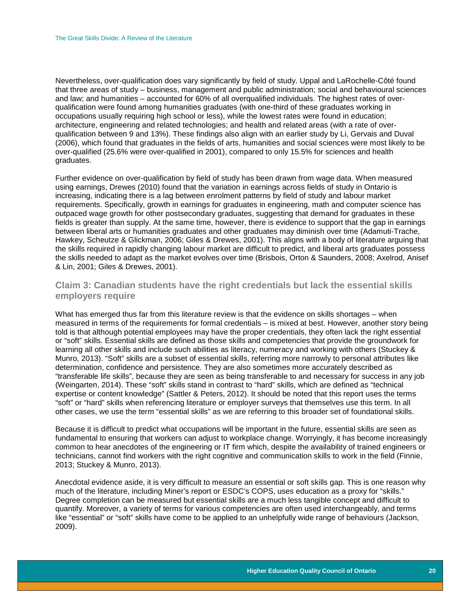Nevertheless, over-qualification does vary significantly by field of study. Uppal and LaRochelle-Côté found that three areas of study – business, management and public administration; social and behavioural sciences and law; and humanities – accounted for 60% of all overqualified individuals. The highest rates of overqualification were found among humanities graduates (with one-third of these graduates working in occupations usually requiring high school or less), while the lowest rates were found in education; architecture, engineering and related technologies; and health and related areas (with a rate of overqualification between 9 and 13%). These findings also align with an earlier study by Li, Gervais and Duval (2006), which found that graduates in the fields of arts, humanities and social sciences were most likely to be over-qualified (25.6% were over-qualified in 2001), compared to only 15.5% for sciences and health graduates.

Further evidence on over-qualification by field of study has been drawn from wage data. When measured using earnings, Drewes (2010) found that the variation in earnings across fields of study in Ontario is increasing, indicating there is a lag between enrolment patterns by field of study and labour market requirements. Specifically, growth in earnings for graduates in engineering, math and computer science has outpaced wage growth for other postsecondary graduates, suggesting that demand for graduates in these fields is greater than supply. At the same time, however, there is evidence to support that the gap in earnings between liberal arts or humanities graduates and other graduates may diminish over time (Adamuti-Trache, Hawkey, Scheutze & Glickman, 2006; Giles & Drewes, 2001). This aligns with a body of literature arguing that the skills required in rapidly changing labour market are difficult to predict, and liberal arts graduates possess the skills needed to adapt as the market evolves over time (Brisbois, Orton & Saunders, 2008; Axelrod, Anisef & Lin, 2001; Giles & Drewes, 2001).

#### <span id="page-20-0"></span>**Claim 3: Canadian students have the right credentials but lack the essential skills employers require**

What has emerged thus far from this literature review is that the evidence on skills shortages – when measured in terms of the requirements for formal credentials – is mixed at best. However, another story being told is that although potential employees may have the proper credentials, they often lack the right essential or "soft" skills. Essential skills are defined as those skills and competencies that provide the groundwork for learning all other skills and include such abilities as literacy, numeracy and working with others (Stuckey & Munro, 2013). "Soft" skills are a subset of essential skills, referring more narrowly to personal attributes like determination, confidence and persistence. They are also sometimes more accurately described as "transferable life skills", because they are seen as being transferable to and necessary for success in any job (Weingarten, 2014). These "soft" skills stand in contrast to "hard" skills, which are defined as "technical expertise or content knowledge" (Sattler & Peters, 2012). It should be noted that this report uses the terms "soft" or "hard" skills when referencing literature or employer surveys that themselves use this term. In all other cases, we use the term "essential skills" as we are referring to this broader set of foundational skills.

Because it is difficult to predict what occupations will be important in the future, essential skills are seen as fundamental to ensuring that workers can adjust to workplace change. Worryingly, it has become increasingly common to hear anecdotes of the engineering or IT firm which, despite the availability of trained engineers or technicians, cannot find workers with the right cognitive and communication skills to work in the field (Finnie, 2013; Stuckey & Munro, 2013).

Anecdotal evidence aside, it is very difficult to measure an essential or soft skills gap. This is one reason why much of the literature, including Miner's report or ESDC's COPS, uses education as a proxy for "skills." Degree completion can be measured but essential skills are a much less tangible concept and difficult to quantify. Moreover, a variety of terms for various competencies are often used interchangeably, and terms like "essential" or "soft" skills have come to be applied to an unhelpfully wide range of behaviours (Jackson, 2009).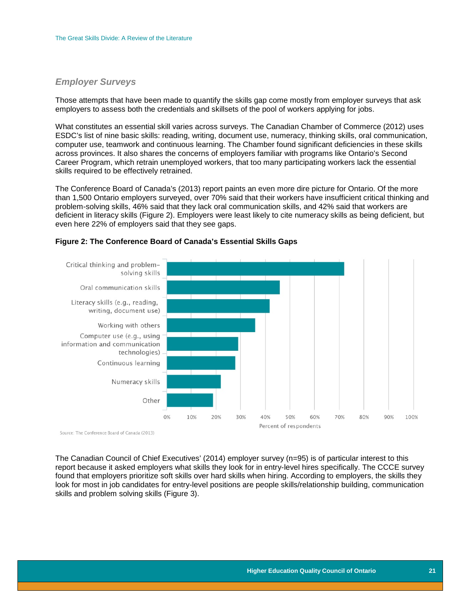#### <span id="page-21-0"></span>*Employer Surveys*

Those attempts that have been made to quantify the skills gap come mostly from employer surveys that ask employers to assess both the credentials and skillsets of the pool of workers applying for jobs.

What constitutes an essential skill varies across surveys. The Canadian Chamber of Commerce (2012) uses ESDC's list of nine basic skills: reading, writing, document use, numeracy, thinking skills, oral communication, computer use, teamwork and continuous learning. The Chamber found significant deficiencies in these skills across provinces. It also shares the concerns of employers familiar with programs like Ontario's Second Career Program, which retrain unemployed workers, that too many participating workers lack the essential skills required to be effectively retrained.

The Conference Board of Canada's (2013) report paints an even more dire picture for Ontario. Of the more than 1,500 Ontario employers surveyed, over 70% said that their workers have insufficient critical thinking and problem-solving skills, 46% said that they lack oral communication skills, and 42% said that workers are deficient in literacy skills (Figure 2). Employers were least likely to cite numeracy skills as being deficient, but even here 22% of employers said that they see gaps.



#### <span id="page-21-1"></span>**Figure 2: The Conference Board of Canada's Essential Skills Gaps**

Source: The Conference Board of Canada (2013)

The Canadian Council of Chief Executives' (2014) employer survey (n=95) is of particular interest to this report because it asked employers what skills they look for in entry-level hires specifically. The CCCE survey found that employers prioritize soft skills over hard skills when hiring. According to employers, the skills they look for most in job candidates for entry-level positions are people skills/relationship building, communication skills and problem solving skills (Figure 3).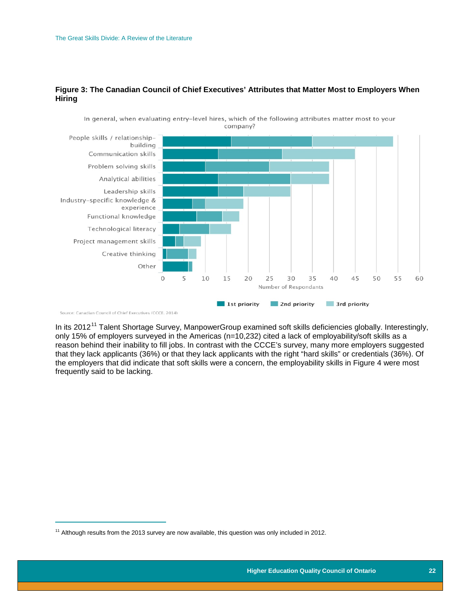#### <span id="page-22-0"></span>**Figure 3: The Canadian Council of Chief Executives' Attributes that Matter Most to Employers When Hiring**



In general, when evaluating entry-level hires, which of the following attributes matter most to your company?

Source: Canadian Council of Chief Executives (CCCE. 2014)

 $\frac{1}{1}$ 

In its 2012<sup>[11](#page-22-1)</sup> Talent Shortage Survey, ManpowerGroup examined soft skills deficiencies globally. Interestingly, only 15% of employers surveyed in the Americas (n=10,232) cited a lack of employability/soft skills as a reason behind their inability to fill jobs. In contrast with the CCCE's survey, many more employers suggested that they lack applicants (36%) or that they lack applicants with the right "hard skills" or credentials (36%). Of the employers that did indicate that soft skills were a concern, the employability skills in Figure 4 were most frequently said to be lacking.

<span id="page-22-1"></span> $11$  Although results from the 2013 survey are now available, this question was only included in 2012.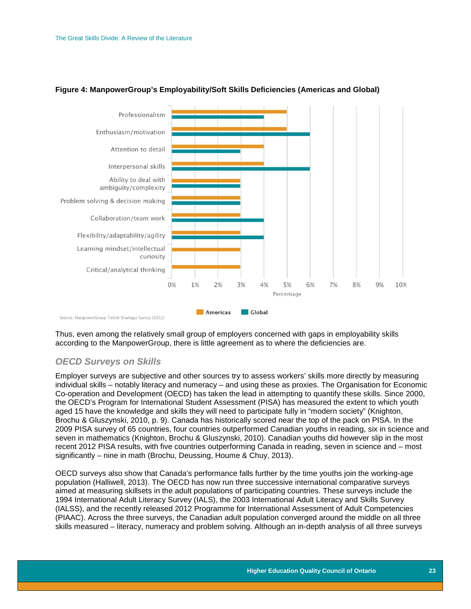

#### <span id="page-23-1"></span>**Figure 4: ManpowerGroup's Employability/Soft Skills Deficiencies (Americas and Global)**

Thus, even among the relatively small group of employers concerned with gaps in employability skills according to the ManpowerGroup, there is little agreement as to where the deficiencies are.

#### <span id="page-23-0"></span>*OECD Surveys on Skills*

Employer surveys are subjective and other sources try to assess workers' skills more directly by measuring individual skills – notably literacy and numeracy – and using these as proxies. The Organisation for Economic Co-operation and Development (OECD) has taken the lead in attempting to quantify these skills. Since 2000, the OECD's Program for International Student Assessment (PISA) has measured the extent to which youth aged 15 have the knowledge and skills they will need to participate fully in "modern society" (Knighton, Brochu & Gluszynski, 2010, p. 9). Canada has historically scored near the top of the pack on PISA. In the 2009 PISA survey of 65 countries, four countries outperformed Canadian youths in reading, six in science and seven in mathematics (Knighton, Brochu & Gluszynski, 2010). Canadian youths did however slip in the most recent 2012 PISA results, with five countries outperforming Canada in reading, seven in science and – most significantly – nine in math (Brochu, Deussing, Houme & Chuy, 2013).

OECD surveys also show that Canada's performance falls further by the time youths join the working-age population (Halliwell, 2013). The OECD has now run three successive international comparative surveys aimed at measuring skillsets in the adult populations of participating countries. These surveys include the 1994 International Adult Literacy Survey (IALS), the 2003 International Adult Literacy and Skills Survey (IALSS), and the recently released 2012 Programme for International Assessment of Adult Competencies (PIAAC). Across the three surveys, the Canadian adult population converged around the middle on all three skills measured – literacy, numeracy and problem solving. Although an in-depth analysis of all three surveys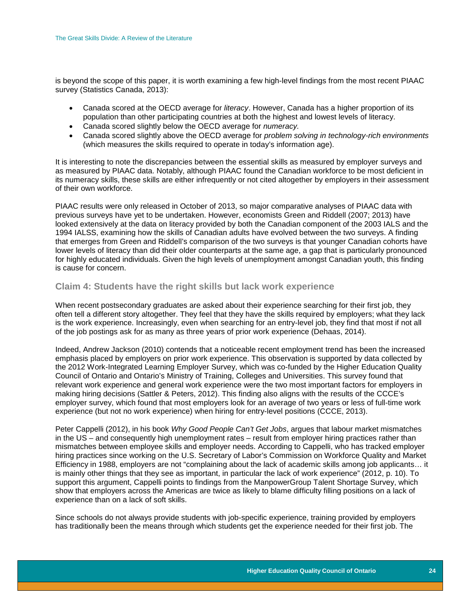is beyond the scope of this paper, it is worth examining a few high-level findings from the most recent PIAAC survey (Statistics Canada, 2013):

- Canada scored at the OECD average for *literacy*. However, Canada has a higher proportion of its population than other participating countries at both the highest and lowest levels of literacy.
- Canada scored slightly below the OECD average for *numeracy.*
- Canada scored slightly above the OECD average for *problem solving in technology-rich environments*  (which measures the skills required to operate in today's information age).

It is interesting to note the discrepancies between the essential skills as measured by employer surveys and as measured by PIAAC data. Notably, although PIAAC found the Canadian workforce to be most deficient in its numeracy skills, these skills are either infrequently or not cited altogether by employers in their assessment of their own workforce.

PIAAC results were only released in October of 2013, so major comparative analyses of PIAAC data with previous surveys have yet to be undertaken. However, economists Green and Riddell (2007; 2013) have looked extensively at the data on literacy provided by both the Canadian component of the 2003 IALS and the 1994 IALSS, examining how the skills of Canadian adults have evolved between the two surveys. A finding that emerges from Green and Riddell's comparison of the two surveys is that younger Canadian cohorts have lower levels of literacy than did their older counterparts at the same age, a gap that is particularly pronounced for highly educated individuals. Given the high levels of unemployment amongst Canadian youth, this finding is cause for concern.

#### <span id="page-24-0"></span>**Claim 4: Students have the right skills but lack work experience**

When recent postsecondary graduates are asked about their experience searching for their first job, they often tell a different story altogether. They feel that they have the skills required by employers; what they lack is the work experience. Increasingly, even when searching for an entry-level job, they find that most if not all of the job postings ask for as many as three years of prior work experience (Dehaas, 2014).

Indeed, Andrew Jackson (2010) contends that a noticeable recent employment trend has been the increased emphasis placed by employers on prior work experience. This observation is supported by data collected by the 2012 Work-Integrated Learning Employer Survey, which was co-funded by the Higher Education Quality Council of Ontario and Ontario's Ministry of Training, Colleges and Universities. This survey found that relevant work experience and general work experience were the two most important factors for employers in making hiring decisions (Sattler & Peters, 2012). This finding also aligns with the results of the CCCE's employer survey, which found that most employers look for an average of two years or less of full-time work experience (but not no work experience) when hiring for entry-level positions (CCCE, 2013).

Peter Cappelli (2012), in his book *Why Good People Can't Get Jobs*, argues that labour market mismatches in the US – and consequently high unemployment rates – result from employer hiring practices rather than mismatches between employee skills and employer needs. According to Cappelli, who has tracked employer hiring practices since working on the U.S. Secretary of Labor's Commission on Workforce Quality and Market Efficiency in 1988, employers are not "complaining about the lack of academic skills among job applicants… it is mainly other things that they see as important, in particular the lack of work experience" (2012, p. 10). To support this argument, Cappelli points to findings from the ManpowerGroup Talent Shortage Survey, which show that employers across the Americas are twice as likely to blame difficulty filling positions on a lack of experience than on a lack of soft skills.

Since schools do not always provide students with job-specific experience, training provided by employers has traditionally been the means through which students get the experience needed for their first job. The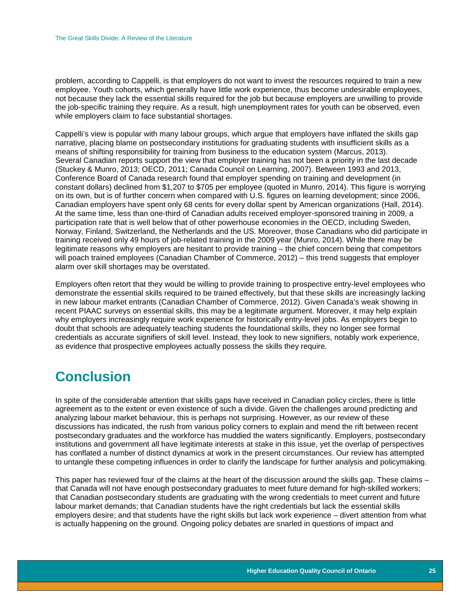problem, according to Cappelli, is that employers do not want to invest the resources required to train a new employee. Youth cohorts, which generally have little work experience, thus become undesirable employees, not because they lack the essential skills required for the job but because employers are unwilling to provide the job-specific training they require. As a result, high unemployment rates for youth can be observed, even while employers claim to face substantial shortages.

Cappelli's view is popular with many labour groups, which argue that employers have inflated the skills gap narrative, placing blame on postsecondary institutions for graduating students with insufficient skills as a means of shifting responsibility for training from business to the education system (Marcus, 2013). Several Canadian reports support the view that employer training has not been a priority in the last decade (Stuckey & Munro, 2013; OECD, 2011; Canada Council on Learning, 2007). Between 1993 and 2013, Conference Board of Canada research found that employer spending on training and development (in constant dollars) declined from \$1,207 to \$705 per employee (quoted in Munro, 2014). This figure is worrying on its own, but is of further concern when compared with U.S. figures on learning development; since 2006, Canadian employers have spent only 68 cents for every dollar spent by American organizations (Hall, 2014). At the same time, less than one-third of Canadian adults received employer-sponsored training in 2009, a participation rate that is well below that of other powerhouse economies in the OECD, including Sweden, Norway, Finland, Switzerland, the Netherlands and the US. Moreover, those Canadians who did participate in training received only 49 hours of job-related training in the 2009 year (Munro, 2014). While there may be legitimate reasons why employers are hesitant to provide training – the chief concern being that competitors will poach trained employees (Canadian Chamber of Commerce, 2012) – this trend suggests that employer alarm over skill shortages may be overstated.

Employers often retort that they would be willing to provide training to prospective entry-level employees who demonstrate the essential skills required to be trained effectively, but that these skills are increasingly lacking in new labour market entrants (Canadian Chamber of Commerce, 2012). Given Canada's weak showing in recent PIAAC surveys on essential skills, this may be a legitimate argument. Moreover, it may help explain why employers increasingly require work experience for historically entry-level jobs. As employers begin to doubt that schools are adequately teaching students the foundational skills, they no longer see formal credentials as accurate signifiers of skill level. Instead, they look to new signifiers, notably work experience, as evidence that prospective employees actually possess the skills they require.

### <span id="page-25-0"></span>**Conclusion**

In spite of the considerable attention that skills gaps have received in Canadian policy circles, there is little agreement as to the extent or even existence of such a divide. Given the challenges around predicting and analyzing labour market behaviour, this is perhaps not surprising. However, as our review of these discussions has indicated, the rush from various policy corners to explain and mend the rift between recent postsecondary graduates and the workforce has muddied the waters significantly. Employers, postsecondary institutions and government all have legitimate interests at stake in this issue, yet the overlap of perspectives has conflated a number of distinct dynamics at work in the present circumstances. Our review has attempted to untangle these competing influences in order to clarify the landscape for further analysis and policymaking.

This paper has reviewed four of the claims at the heart of the discussion around the skills gap. These claims – that Canada will not have enough postsecondary graduates to meet future demand for high-skilled workers; that Canadian postsecondary students are graduating with the wrong credentials to meet current and future labour market demands; that Canadian students have the right credentials but lack the essential skills employers desire; and that students have the right skills but lack work experience – divert attention from what is actually happening on the ground. Ongoing policy debates are snarled in questions of impact and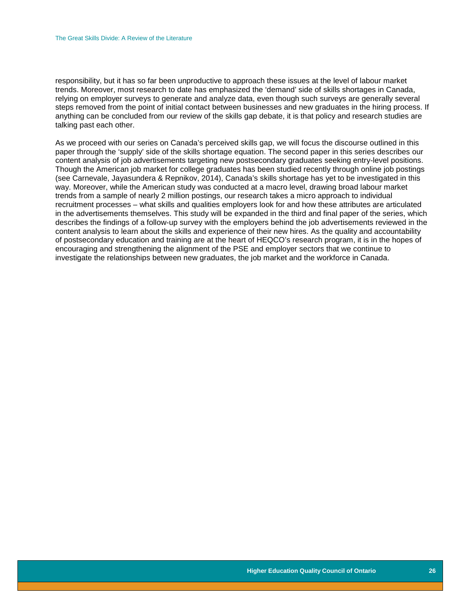responsibility, but it has so far been unproductive to approach these issues at the level of labour market trends. Moreover, most research to date has emphasized the 'demand' side of skills shortages in Canada, relying on employer surveys to generate and analyze data, even though such surveys are generally several steps removed from the point of initial contact between businesses and new graduates in the hiring process. If anything can be concluded from our review of the skills gap debate, it is that policy and research studies are talking past each other.

<span id="page-26-0"></span>As we proceed with our series on Canada's perceived skills gap, we will focus the discourse outlined in this paper through the 'supply' side of the skills shortage equation. The second paper in this series describes our content analysis of job advertisements targeting new postsecondary graduates seeking entry-level positions. Though the American job market for college graduates has been studied recently through online job postings (see Carnevale, Jayasundera & Repnikov, 2014), Canada's skills shortage has yet to be investigated in this way. Moreover, while the American study was conducted at a macro level, drawing broad labour market trends from a sample of nearly 2 million postings, our research takes a micro approach to individual recruitment processes – what skills and qualities employers look for and how these attributes are articulated in the advertisements themselves. This study will be expanded in the third and final paper of the series, which describes the findings of a follow-up survey with the employers behind the job advertisements reviewed in the content analysis to learn about the skills and experience of their new hires. As the quality and accountability of postsecondary education and training are at the heart of HEQCO's research program, it is in the hopes of encouraging and strengthening the alignment of the PSE and employer sectors that we continue to investigate the relationships between new graduates, the job market and the workforce in Canada.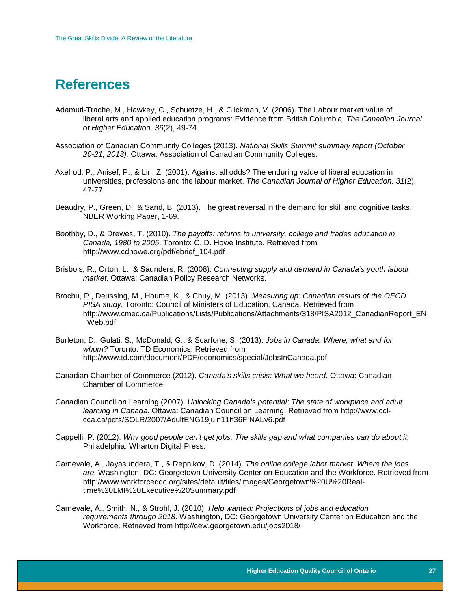### **References**

- Adamuti-Trache, M., Hawkey, C., Schuetze, H., & Glickman, V. (2006). The Labour market value of liberal arts and applied education programs: Evidence from British Columbia. *The Canadian Journal of Higher Education, 36*(2), 49-74.
- Association of Canadian Community Colleges (2013). *National Skills Summit summary report (October 20-21, 2013).* Ottawa: Association of Canadian Community Colleges.
- Axelrod, P., Anisef, P., & Lin, Z. (2001). Against all odds? The enduring value of liberal education in universities, professions and the labour market. *The Canadian Journal of Higher Education, 31*(2), 47-77.
- Beaudry, P., Green, D., & Sand, B. (2013). The great reversal in the demand for skill and cognitive tasks. NBER Working Paper, 1-69.
- Boothby, D., & Drewes, T. (2010). *The payoffs: returns to university, college and trades education in Canada, 1980 to 2005*. Toronto: C. D. Howe Institute. Retrieved from http://www.cdhowe.org/pdf/ebrief\_104.pdf
- Brisbois, R., Orton, L., & Saunders, R. (2008). *Connecting supply and demand in Canada's youth labour market*. Ottawa: Canadian Policy Research Networks.
- Brochu, P., Deussing, M., Houme, K., & Chuy, M. (2013). *Measuring up: Canadian results of the OECD PISA study.* Toronto: Council of Ministers of Education, Canada. Retrieved from http://www.cmec.ca/Publications/Lists/Publications/Attachments/318/PISA2012\_CanadianReport\_EN \_Web.pdf
- Burleton, D., Gulati, S., McDonald, G., & Scarfone, S. (2013). *Jobs in Canada: Where, what and for whom?* Toronto: TD Economics. Retrieved from http://www.td.com/document/PDF/economics/special/JobsInCanada.pdf
- Canadian Chamber of Commerce (2012). *Canada's skills crisis: What we heard.* Ottawa: Canadian Chamber of Commerce.
- Canadian Council on Learning (2007). *Unlocking Canada's potential: The state of workplace and adult learning in Canada.* Ottawa: Canadian Council on Learning. Retrieved from http://www.cclcca.ca/pdfs/SOLR/2007/AdultENG19juin11h36FINALv6.pdf
- Cappelli, P. (2012). *Why good people can't get jobs: The skills gap and what companies can do about it.*  Philadelphia: Wharton Digital Press.
- Carnevale, A., Jayasundera, T., & Repnikov, D. (2014). *The online college labor market: Where the jobs are.* Washington, DC: Georgetown University Center on Education and the Workforce. Retrieved from http://www.workforcedqc.org/sites/default/files/images/Georgetown%20U%20Realtime%20LMI%20Executive%20Summary.pdf
- Carnevale, A., Smith, N., & Strohl, J. (2010). *Help wanted: Projections of jobs and education requirements through 2018.* Washington, DC: Georgetown University Center on Education and the Workforce. Retrieved from http://cew.georgetown.edu/jobs2018/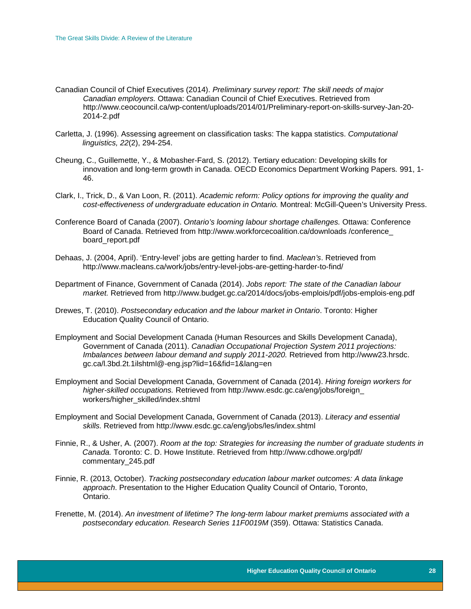- Canadian Council of Chief Executives (2014). *Preliminary survey report: The skill needs of major Canadian employers.* Ottawa: Canadian Council of Chief Executives. Retrieved from http://www.ceocouncil.ca/wp-content/uploads/2014/01/Preliminary-report-on-skills-survey-Jan-20- 2014-2.pdf
- Carletta, J. (1996). Assessing agreement on classification tasks: The kappa statistics. *Computational linguistics, 22*(2), 294-254.
- Cheung, C., Guillemette, Y., & Mobasher-Fard, S. (2012). Tertiary education: Developing skills for innovation and long-term growth in Canada. OECD Economics Department Working Papers*.* 991, 1- 46.
- Clark, I., Trick, D., & Van Loon, R. (2011). *Academic reform: Policy options for improving the quality and cost-effectiveness of undergraduate education in Ontario.* Montreal: McGill-Queen's University Press.
- Conference Board of Canada (2007). *Ontario's looming labour shortage challenges.* Ottawa: Conference Board of Canada. Retrieved from http://www.workforcecoalition.ca/downloads /conference\_ board\_report.pdf
- Dehaas, J. (2004, April). 'Entry-level' jobs are getting harder to find. *Maclean's*. Retrieved from http://www.macleans.ca/work/jobs/entry-level-jobs-are-getting-harder-to-find/
- Department of Finance, Government of Canada (2014). *Jobs report: The state of the Canadian labour market.* Retrieved from http://www.budget.gc.ca/2014/docs/jobs-emplois/pdf/jobs-emplois-eng.pdf
- Drewes, T. (2010). *Postsecondary education and the labour market in Ontario*. Toronto: Higher Education Quality Council of Ontario.
- Employment and Social Development Canada (Human Resources and Skills Development Canada), Government of Canada (2011). *Canadian Occupational Projection System 2011 projections: Imbalances between labour demand and supply 2011-2020.* Retrieved from http://www23.hrsdc. gc.ca/l.3bd.2t.1ilshtml@-eng.jsp?lid=16&fid=1&lang=en
- Employment and Social Development Canada, Government of Canada (2014). *Hiring foreign workers for higher-skilled occupations.* Retrieved from http://www.esdc.gc.ca/eng/jobs/foreign\_ workers/higher\_skilled/index.shtml
- Employment and Social Development Canada, Government of Canada (2013). *Literacy and essential skills.* Retrieved from http://www.esdc.gc.ca/eng/jobs/les/index.shtml
- Finnie, R., & Usher, A. (2007). *Room at the top: Strategies for increasing the number of graduate students in Canada.* Toronto: C. D. Howe Institute. Retrieved from http://www.cdhowe.org/pdf/ commentary\_245.pdf
- Finnie, R. (2013, October). *Tracking postsecondary education labour market outcomes: A data linkage approach*. Presentation to the Higher Education Quality Council of Ontario, Toronto, Ontario.
- Frenette, M. (2014). *An investment of lifetime? The long-term labour market premiums associated with a postsecondary education. Research Series 11F0019M* (359). Ottawa: Statistics Canada.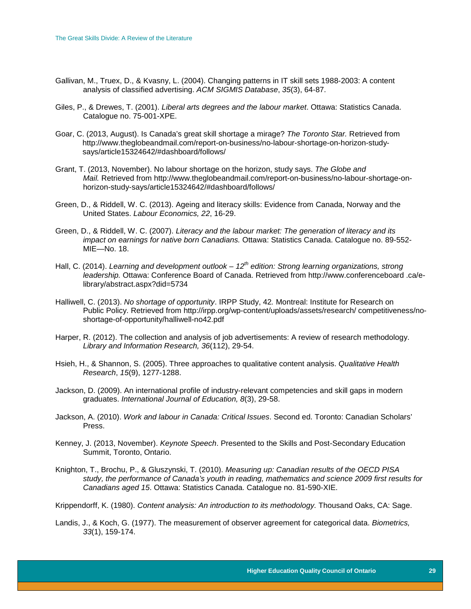- Gallivan, M., Truex, D., & Kvasny, L. (2004). Changing patterns in IT skill sets 1988-2003: A content analysis of classified advertising. *ACM SIGMIS Database*, *35*(3), 64-87.
- Giles, P., & Drewes, T. (2001). *Liberal arts degrees and the labour market*. Ottawa: Statistics Canada. Catalogue no. 75-001-XPE.
- Goar, C. (2013, August). Is Canada's great skill shortage a mirage? *The Toronto Star.* Retrieved from http://www.theglobeandmail.com/report-on-business/no-labour-shortage-on-horizon-studysays/article15324642/#dashboard/follows/
- Grant, T. (2013, November). No labour shortage on the horizon, study says. *The Globe and Mail.* Retrieved from http://www.theglobeandmail.com/report-on-business/no-labour-shortage-onhorizon-study-says/article15324642/#dashboard/follows/
- Green, D., & Riddell, W. C. (2013). Ageing and literacy skills: Evidence from Canada, Norway and the United States. *Labour Economics, 22*, 16-29.
- Green, D., & Riddell, W. C. (2007). *Literacy and the labour market: The generation of literacy and its impact on earnings for native born Canadians.* Ottawa: Statistics Canada. Catalogue no. 89-552- MIE—No. 18.
- Hall, C. (2014). *Learning and development outlook 12<sup>th</sup> edition: Strong learning organizations, strong leadership.* Ottawa: Conference Board of Canada. Retrieved from http://www.conferenceboard .ca/elibrary/abstract.aspx?did=5734
- Halliwell, C. (2013). *No shortage of opportunity*. IRPP Study, 42*.* Montreal: Institute for Research on Public Policy. Retrieved from http://irpp.org/wp-content/uploads/assets/research/ competitiveness/noshortage-of-opportunity/halliwell-no42.pdf
- Harper, R. (2012). The collection and analysis of job advertisements: A review of research methodology. *Library and Information Research, 36*(112), 29-54.
- Hsieh, H., & Shannon, S. (2005). Three approaches to qualitative content analysis. *Qualitative Health Research*, *15*(9), 1277-1288.
- Jackson, D. (2009). An international profile of industry-relevant competencies and skill gaps in modern graduates. *International Journal of Education, 8*(3), 29-58.
- Jackson, A. (2010). *Work and labour in Canada: Critical Issues*. Second ed. Toronto: Canadian Scholars' Press.
- Kenney, J. (2013, November). *Keynote Speech*. Presented to the Skills and Post-Secondary Education Summit, Toronto, Ontario.
- Knighton, T., Brochu, P., & Gluszynski, T. (2010). *Measuring up: Canadian results of the OECD PISA study, the performance of Canada's youth in reading, mathematics and science 2009 first results for Canadians aged 15*. Ottawa: Statistics Canada. Catalogue no. 81-590-XIE.

Krippendorff, K. (1980). *Content analysis: An introduction to its methodology.* Thousand Oaks, CA: Sage.

Landis, J., & Koch, G. (1977). The measurement of observer agreement for categorical data. *Biometrics, 33*(1), 159-174.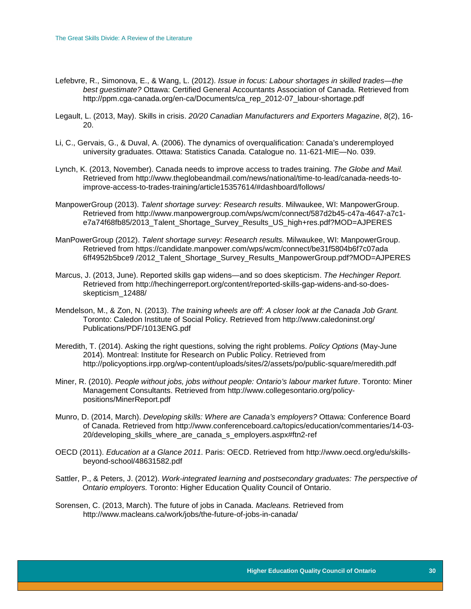- Lefebvre, R., Simonova, E., & Wang, L. (2012). *Issue in focus: Labour shortages in skilled trades—the best guestimate?* Ottawa: Certified General Accountants Association of Canada. Retrieved from http://ppm.cga-canada.org/en-ca/Documents/ca\_rep\_2012-07\_labour-shortage.pdf
- Legault, L. (2013, May). Skills in crisis. *20/20 Canadian Manufacturers and Exporters Magazine*, *8*(2), 16- 20.
- Li, C., Gervais, G., & Duval, A. (2006). The dynamics of overqualification: Canada's underemployed university graduates. Ottawa: Statistics Canada. Catalogue no. 11-621-MIE—No. 039.
- Lynch, K. (2013, November). Canada needs to improve access to trades training. *The Globe and Mail.* Retrieved from http://www.theglobeandmail.com/news/national/time-to-lead/canada-needs-toimprove-access-to-trades-training/article15357614/#dashboard/follows/
- ManpowerGroup (2013). *Talent shortage survey: Research results*. Milwaukee, WI: ManpowerGroup. Retrieved from http://www.manpowergroup.com/wps/wcm/connect/587d2b45-c47a-4647-a7c1 e7a74f68fb85/2013\_Talent\_Shortage\_Survey\_Results\_US\_high+res.pdf?MOD=AJPERES
- ManPowerGroup (2012). *Talent shortage survey: Research results.* Milwaukee, WI: ManpowerGroup. Retrieved from https://candidate.manpower.com/wps/wcm/connect/be31f5804b6f7c07ada 6ff4952b5bce9 /2012\_Talent\_Shortage\_Survey\_Results\_ManpowerGroup.pdf?MOD=AJPERES
- Marcus, J. (2013, June). Reported skills gap widens—and so does skepticism. *The Hechinger Report.*  Retrieved from http://hechingerreport.org/content/reported-skills-gap-widens-and-so-doesskepticism\_12488/
- Mendelson, M., & Zon, N. (2013). *The training wheels are off: A closer look at the Canada Job Grant.*  Toronto: Caledon Institute of Social Policy. Retrieved from http://www.caledoninst.org/ Publications/PDF/1013ENG.pdf
- Meredith, T. (2014). Asking the right questions, solving the right problems. *Policy Options* (May-June 2014)*.* Montreal: Institute for Research on Public Policy. Retrieved from http://policyoptions.irpp.org/wp-content/uploads/sites/2/assets/po/public-square/meredith.pdf
- Miner, R. (2010). *People without jobs, jobs without people: Ontario's labour market future*. Toronto: Miner Management Consultants. Retrieved from http://www.collegesontario.org/policypositions/MinerReport.pdf
- Munro, D. (2014, March). *Developing skills: Where are Canada's employers?* Ottawa: Conference Board of Canada. Retrieved from http://www.conferenceboard.ca/topics/education/commentaries/14-03- 20/developing\_skills\_where\_are\_canada\_s\_employers.aspx#ftn2-ref
- OECD (2011). *Education at a Glance 2011*. Paris: OECD. Retrieved from http://www.oecd.org/edu/skillsbeyond-school/48631582.pdf
- Sattler, P., & Peters, J. (2012). *Work-integrated learning and postsecondary graduates: The perspective of Ontario employers.* Toronto: Higher Education Quality Council of Ontario.
- Sorensen, C. (2013, March). The future of jobs in Canada. *Macleans.* Retrieved from http://www.macleans.ca/work/jobs/the-future-of-jobs-in-canada/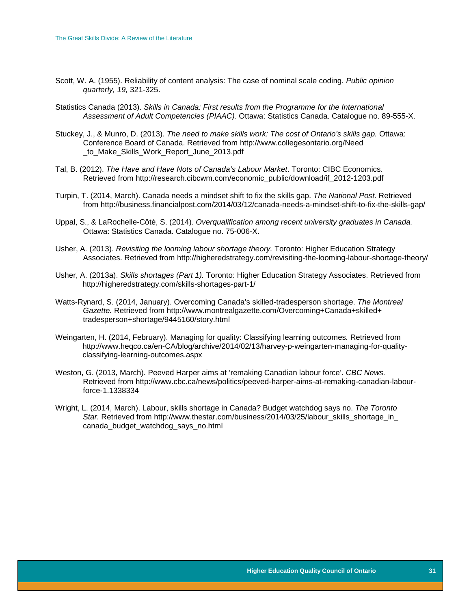- Scott, W. A. (1955). Reliability of content analysis: The case of nominal scale coding. *Public opinion quarterly, 19,* 321-325.
- Statistics Canada (2013). *Skills in Canada: First results from the Programme for the International Assessment of Adult Competencies (PIAAC).* Ottawa: Statistics Canada. Catalogue no. 89-555-X.
- Stuckey, J., & Munro, D. (2013). *The need to make skills work: The cost of Ontario's skills gap.* Ottawa: Conference Board of Canada. Retrieved from http://www.collegesontario.org/Need \_to\_Make\_Skills\_Work\_Report\_June\_2013.pdf
- Tal, B. (2012). *The Have and Have Nots of Canada's Labour Market*. Toronto: CIBC Economics. Retrieved from http://research.cibcwm.com/economic\_public/download/if\_2012-1203.pdf
- Turpin, T. (2014, March). Canada needs a mindset shift to fix the skills gap. *The National Post.* Retrieved from http://business.financialpost.com/2014/03/12/canada-needs-a-mindset-shift-to-fix-the-skills-gap/
- Uppal, S., & LaRochelle-Côté, S. (2014). *Overqualification among recent university graduates in Canada.*  Ottawa: Statistics Canada. Catalogue no. 75-006-X.
- Usher, A. (2013). *Revisiting the looming labour shortage theory.* Toronto: Higher Education Strategy Associates. Retrieved from http://higheredstrategy.com/revisiting-the-looming-labour-shortage-theory/
- Usher, A. (2013a). *Skills shortages (Part 1).* Toronto: Higher Education Strategy Associates. Retrieved from http://higheredstrategy.com/skills-shortages-part-1/
- Watts-Rynard, S. (2014, January). Overcoming Canada's skilled-tradesperson shortage. *The Montreal Gazette.* Retrieved from http://www.montrealgazette.com/Overcoming+Canada+skilled+ tradesperson+shortage/9445160/story.html
- Weingarten, H. (2014, February). Managing for quality: Classifying learning outcomes*.* Retrieved from http://www.heqco.ca/en-CA/blog/archive/2014/02/13/harvey-p-weingarten-managing-for-qualityclassifying-learning-outcomes.aspx
- Weston, G. (2013, March). Peeved Harper aims at 'remaking Canadian labour force'. *CBC News.*  Retrieved from http://www.cbc.ca/news/politics/peeved-harper-aims-at-remaking-canadian-labourforce-1.1338334
- Wright, L. (2014, March). Labour, skills shortage in Canada? Budget watchdog says no. *The Toronto*  Star. Retrieved from http://www.thestar.com/business/2014/03/25/labour\_skills\_shortage\_in canada\_budget\_watchdog\_says\_no.html